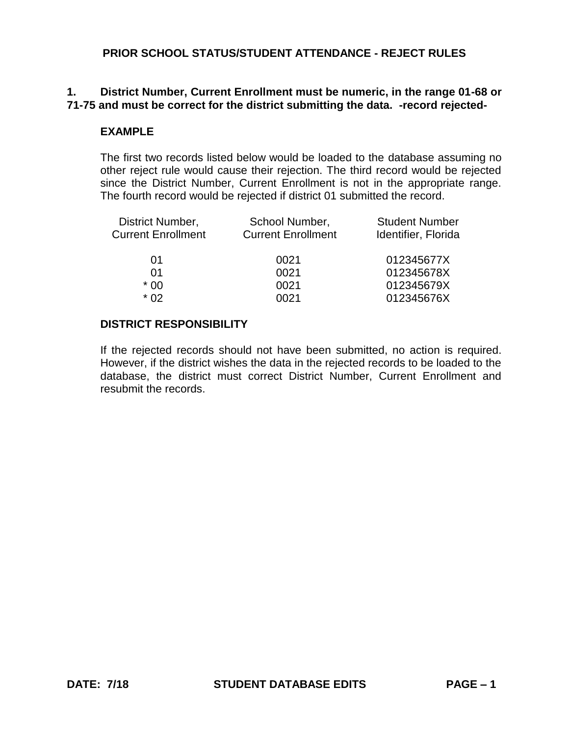# **1. District Number, Current Enrollment must be numeric, in the range 01-68 or 71-75 and must be correct for the district submitting the data. -record rejected-**

#### **EXAMPLE**

The first two records listed below would be loaded to the database assuming no other reject rule would cause their rejection. The third record would be rejected since the District Number, Current Enrollment is not in the appropriate range. The fourth record would be rejected if district 01 submitted the record.

| School Number,<br><b>Current Enrollment</b> | <b>Student Number</b><br>Identifier, Florida |
|---------------------------------------------|----------------------------------------------|
| 0021                                        | 012345677X                                   |
| 0021                                        | 012345678X                                   |
| 0021                                        | 012345679X                                   |
| 0021                                        | 012345676X                                   |
|                                             |                                              |

#### **DISTRICT RESPONSIBILITY**

If the rejected records should not have been submitted, no action is required. However, if the district wishes the data in the rejected records to be loaded to the database, the district must correct District Number, Current Enrollment and resubmit the records.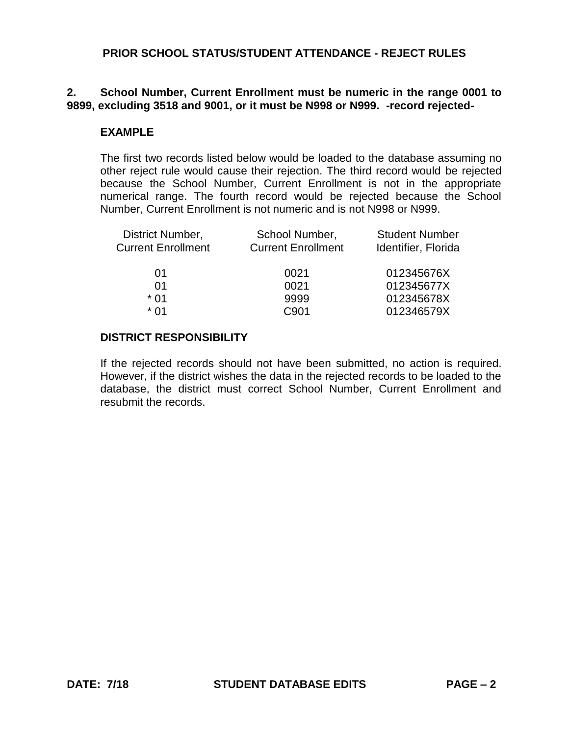# **2. School Number, Current Enrollment must be numeric in the range 0001 to 9899, excluding 3518 and 9001, or it must be N998 or N999. -record rejected-**

#### **EXAMPLE**

The first two records listed below would be loaded to the database assuming no other reject rule would cause their rejection. The third record would be rejected because the School Number, Current Enrollment is not in the appropriate numerical range. The fourth record would be rejected because the School Number, Current Enrollment is not numeric and is not N998 or N999.

| District Number,<br><b>Current Enrollment</b> | School Number,<br><b>Current Enrollment</b> | <b>Student Number</b><br>Identifier, Florida |
|-----------------------------------------------|---------------------------------------------|----------------------------------------------|
| 01                                            | 0021                                        | 012345676X                                   |
| O1                                            | 0021                                        | 012345677X                                   |
| $*$ 01                                        | 9999                                        | 012345678X                                   |
| * በ1                                          | C901                                        | 012346579X                                   |
|                                               |                                             |                                              |

# **DISTRICT RESPONSIBILITY**

If the rejected records should not have been submitted, no action is required. However, if the district wishes the data in the rejected records to be loaded to the database, the district must correct School Number, Current Enrollment and resubmit the records.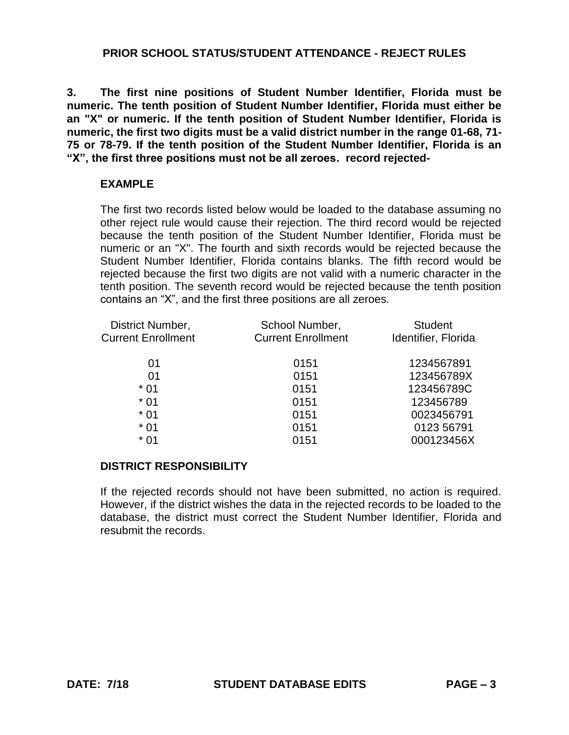**3. The first nine positions of Student Number Identifier, Florida must be numeric. The tenth position of Student Number Identifier, Florida must either be an "X" or numeric. If the tenth position of Student Number Identifier, Florida is numeric, the first two digits must be a valid district number in the range 01-68, 71- 75 or 78-79. If the tenth position of the Student Number Identifier, Florida is an "X", the first three positions must not be all zeroes. record rejected-**

# **EXAMPLE**

The first two records listed below would be loaded to the database assuming no other reject rule would cause their rejection. The third record would be rejected because the tenth position of the Student Number Identifier, Florida must be numeric or an "X". The fourth and sixth records would be rejected because the Student Number Identifier, Florida contains blanks. The fifth record would be rejected because the first two digits are not valid with a numeric character in the tenth position. The seventh record would be rejected because the tenth position contains an "X", and the first three positions are all zeroes.

| District Number,          | School Number,            | <b>Student</b>      |
|---------------------------|---------------------------|---------------------|
| <b>Current Enrollment</b> | <b>Current Enrollment</b> | Identifier, Florida |
| 01                        | 0151                      | 1234567891          |
| 01                        | 0151                      | 123456789X          |
| $*01$                     | 0151                      | 123456789C          |
| $*01$                     | 0151                      | 123456789           |
| $*01$                     | 0151                      | 0023456791          |
| $*01$                     | 0151                      | 0123 56791          |
| $*01$                     | 0151                      | 000123456X          |

# **DISTRICT RESPONSIBILITY**

If the rejected records should not have been submitted, no action is required. However, if the district wishes the data in the rejected records to be loaded to the database, the district must correct the Student Number Identifier, Florida and resubmit the records.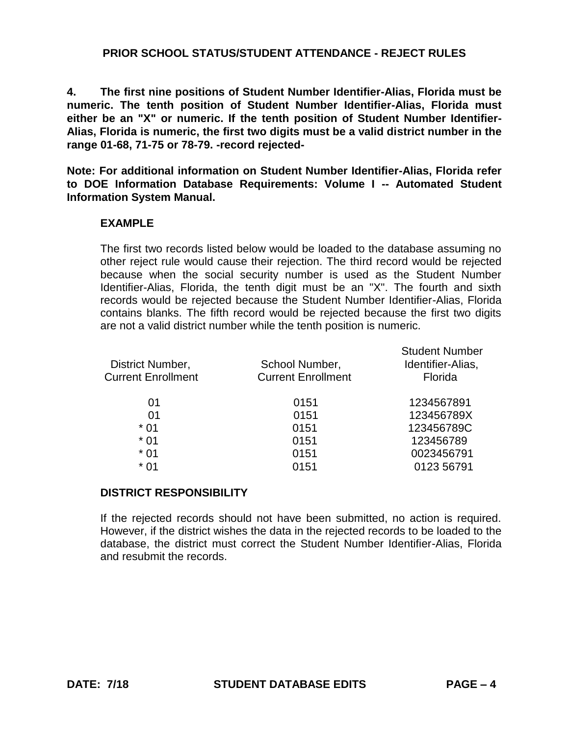**4. The first nine positions of Student Number Identifier-Alias, Florida must be numeric. The tenth position of Student Number Identifier-Alias, Florida must either be an "X" or numeric. If the tenth position of Student Number Identifier-Alias, Florida is numeric, the first two digits must be a valid district number in the range 01-68, 71-75 or 78-79. -record rejected-**

**Note: For additional information on Student Number Identifier-Alias, Florida refer to DOE Information Database Requirements: Volume I -- Automated Student Information System Manual.**

#### **EXAMPLE**

The first two records listed below would be loaded to the database assuming no other reject rule would cause their rejection. The third record would be rejected because when the social security number is used as the Student Number Identifier-Alias, Florida, the tenth digit must be an "X". The fourth and sixth records would be rejected because the Student Number Identifier-Alias, Florida contains blanks. The fifth record would be rejected because the first two digits are not a valid district number while the tenth position is numeric.

| District Number,<br><b>Current Enrollment</b> | School Number,<br><b>Current Enrollment</b> | <b>Student Number</b><br>Identifier-Alias,<br>Florida |
|-----------------------------------------------|---------------------------------------------|-------------------------------------------------------|
| 01                                            | 0151                                        | 1234567891                                            |
| 01                                            | 0151                                        | 123456789X                                            |
| * 01                                          | 0151                                        | 123456789C                                            |
| $*01$                                         | 0151                                        | 123456789                                             |
| $*01$                                         | 0151                                        | 0023456791                                            |
| * 01                                          | 0151                                        | 0123 56791                                            |
|                                               |                                             |                                                       |

#### **DISTRICT RESPONSIBILITY**

If the rejected records should not have been submitted, no action is required. However, if the district wishes the data in the rejected records to be loaded to the database, the district must correct the Student Number Identifier-Alias, Florida and resubmit the records.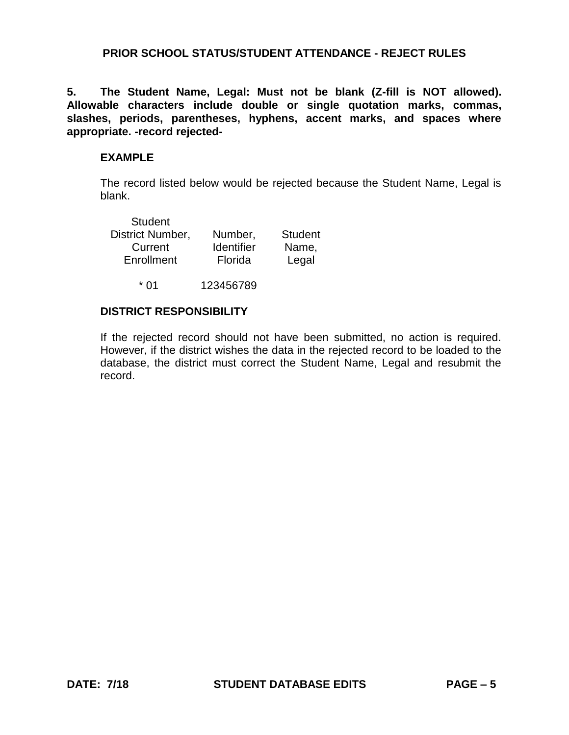**5. The Student Name, Legal: Must not be blank (Z-fill is NOT allowed). Allowable characters include double or single quotation marks, commas, slashes, periods, parentheses, hyphens, accent marks, and spaces where appropriate. -record rejected-**

#### **EXAMPLE**

The record listed below would be rejected because the Student Name, Legal is blank.

| Number,           | <b>Student</b> |
|-------------------|----------------|
| <b>Identifier</b> | Name,          |
| Florida           | Legal          |
|                   |                |

\* 01 123456789

# **DISTRICT RESPONSIBILITY**

If the rejected record should not have been submitted, no action is required. However, if the district wishes the data in the rejected record to be loaded to the database, the district must correct the Student Name, Legal and resubmit the record.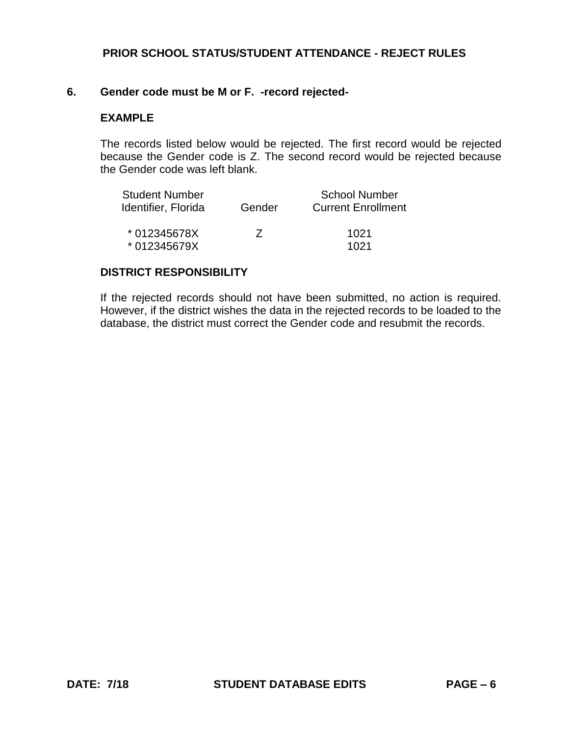#### **6. Gender code must be M or F. -record rejected-**

#### **EXAMPLE**

The records listed below would be rejected. The first record would be rejected because the Gender code is Z. The second record would be rejected because the Gender code was left blank.

| <b>Student Number</b> |          | <b>School Number</b>      |
|-----------------------|----------|---------------------------|
| Identifier, Florida   | Gender   | <b>Current Enrollment</b> |
| * 012345678X          | $\prime$ | 1021                      |
| * 012345679X          |          | 1021                      |

#### **DISTRICT RESPONSIBILITY**

If the rejected records should not have been submitted, no action is required. However, if the district wishes the data in the rejected records to be loaded to the database, the district must correct the Gender code and resubmit the records.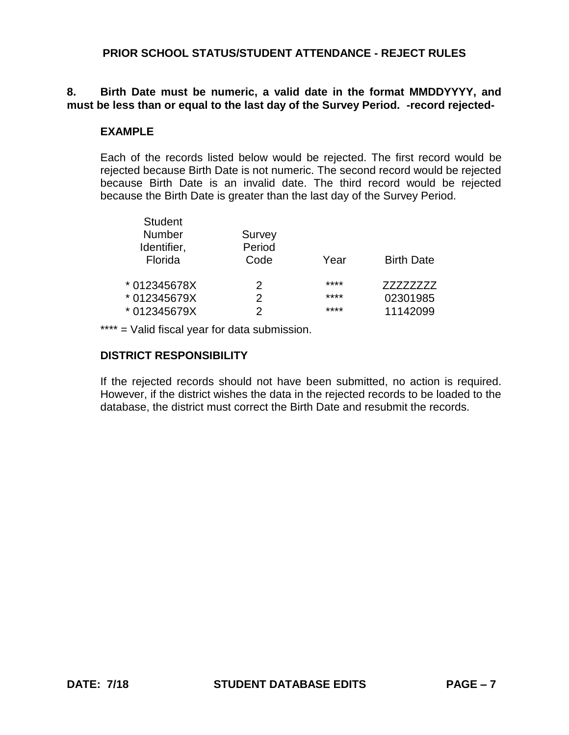# **8. Birth Date must be numeric, a valid date in the format MMDDYYYY, and must be less than or equal to the last day of the Survey Period. -record rejected-**

#### **EXAMPLE**

Each of the records listed below would be rejected. The first record would be rejected because Birth Date is not numeric. The second record would be rejected because Birth Date is an invalid date. The third record would be rejected because the Birth Date is greater than the last day of the Survey Period.

| <b>Student</b> |        |      |                   |
|----------------|--------|------|-------------------|
| <b>Number</b>  | Survey |      |                   |
| Identifier,    | Period |      |                   |
| Florida        | Code   | Year | <b>Birth Date</b> |
|                |        |      |                   |
| * 012345678X   | 2      | **** | 77777777          |
| * 012345679X   | 2      | **** | 02301985          |
| * 012345679X   |        | **** | 11142099          |
|                |        |      |                   |

\*\*\*\* = Valid fiscal year for data submission.

#### **DISTRICT RESPONSIBILITY**

If the rejected records should not have been submitted, no action is required. However, if the district wishes the data in the rejected records to be loaded to the database, the district must correct the Birth Date and resubmit the records.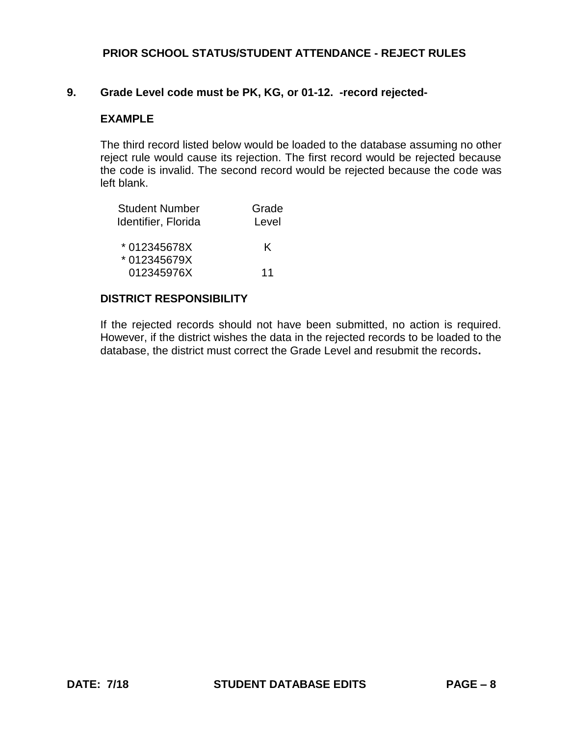#### **9. Grade Level code must be PK, KG, or 01-12. -record rejected-**

#### **EXAMPLE**

The third record listed below would be loaded to the database assuming no other reject rule would cause its rejection. The first record would be rejected because the code is invalid. The second record would be rejected because the code was left blank.

| <b>Student Number</b><br>Identifier, Florida | Grade<br>Level |
|----------------------------------------------|----------------|
| *012345678X                                  | K              |
| * 012345679X<br>012345976X                   | 11             |

#### **DISTRICT RESPONSIBILITY**

If the rejected records should not have been submitted, no action is required. However, if the district wishes the data in the rejected records to be loaded to the database, the district must correct the Grade Level and resubmit the records**.**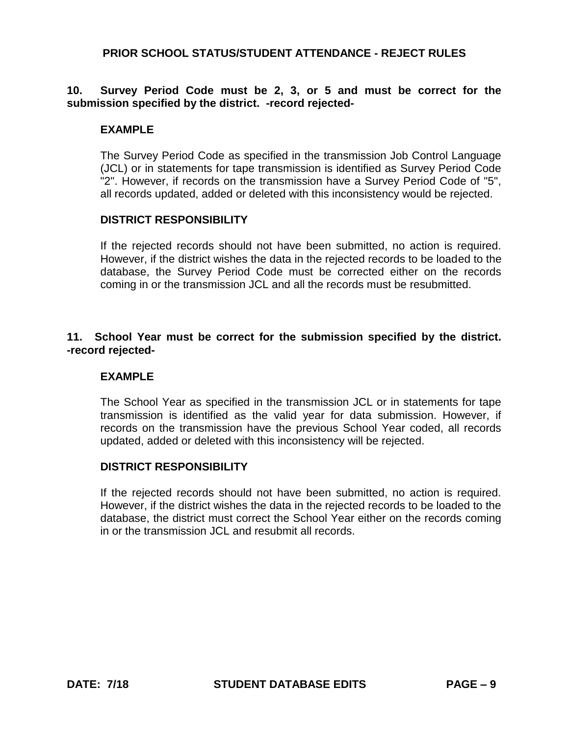# **10. Survey Period Code must be 2, 3, or 5 and must be correct for the submission specified by the district. -record rejected-**

#### **EXAMPLE**

The Survey Period Code as specified in the transmission Job Control Language (JCL) or in statements for tape transmission is identified as Survey Period Code "2". However, if records on the transmission have a Survey Period Code of "5", all records updated, added or deleted with this inconsistency would be rejected.

#### **DISTRICT RESPONSIBILITY**

If the rejected records should not have been submitted, no action is required. However, if the district wishes the data in the rejected records to be loaded to the database, the Survey Period Code must be corrected either on the records coming in or the transmission JCL and all the records must be resubmitted.

#### **11. School Year must be correct for the submission specified by the district. -record rejected-**

#### **EXAMPLE**

The School Year as specified in the transmission JCL or in statements for tape transmission is identified as the valid year for data submission. However, if records on the transmission have the previous School Year coded, all records updated, added or deleted with this inconsistency will be rejected.

#### **DISTRICT RESPONSIBILITY**

If the rejected records should not have been submitted, no action is required. However, if the district wishes the data in the rejected records to be loaded to the database, the district must correct the School Year either on the records coming in or the transmission JCL and resubmit all records.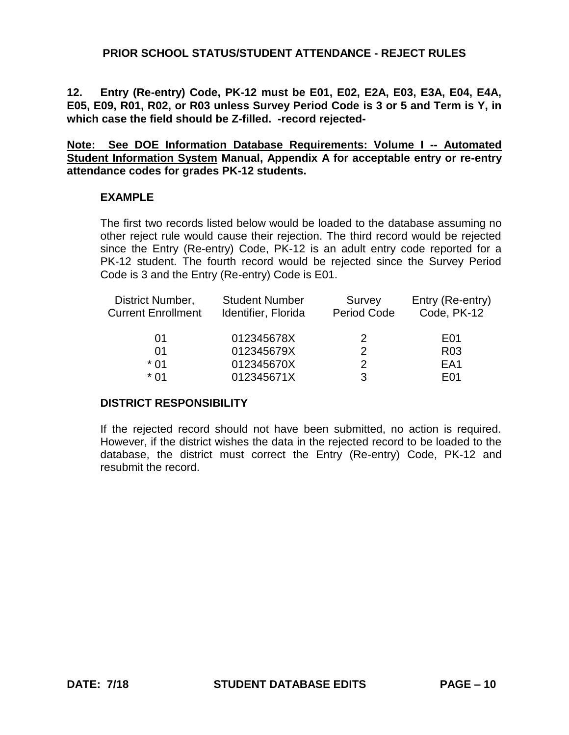**12. Entry (Re-entry) Code, PK-12 must be E01, E02, E2A, E03, E3A, E04, E4A, E05, E09, R01, R02, or R03 unless Survey Period Code is 3 or 5 and Term is Y, in which case the field should be Z-filled. -record rejected-**

**Note: See DOE Information Database Requirements: Volume I -- Automated Student Information System Manual, Appendix A for acceptable entry or re-entry attendance codes for grades PK-12 students.**

#### **EXAMPLE**

The first two records listed below would be loaded to the database assuming no other reject rule would cause their rejection. The third record would be rejected since the Entry (Re-entry) Code, PK-12 is an adult entry code reported for a PK-12 student. The fourth record would be rejected since the Survey Period Code is 3 and the Entry (Re-entry) Code is E01.

| District Number,          | <b>Student Number</b> | Survey      | Entry (Re-entry) |
|---------------------------|-----------------------|-------------|------------------|
| <b>Current Enrollment</b> | Identifier, Florida   | Period Code | Code, PK-12      |
| 01                        | 012345678X            | 2           | E <sub>0</sub> 1 |
| 01                        | 012345679X            | 2           | R <sub>0</sub> 3 |
| * በ1                      | 012345670X            | 2           | EA <sub>1</sub>  |
| $*$ 01                    | 012345671X            | 3           | F01              |

#### **DISTRICT RESPONSIBILITY**

If the rejected record should not have been submitted, no action is required. However, if the district wishes the data in the rejected record to be loaded to the database, the district must correct the Entry (Re-entry) Code, PK-12 and resubmit the record.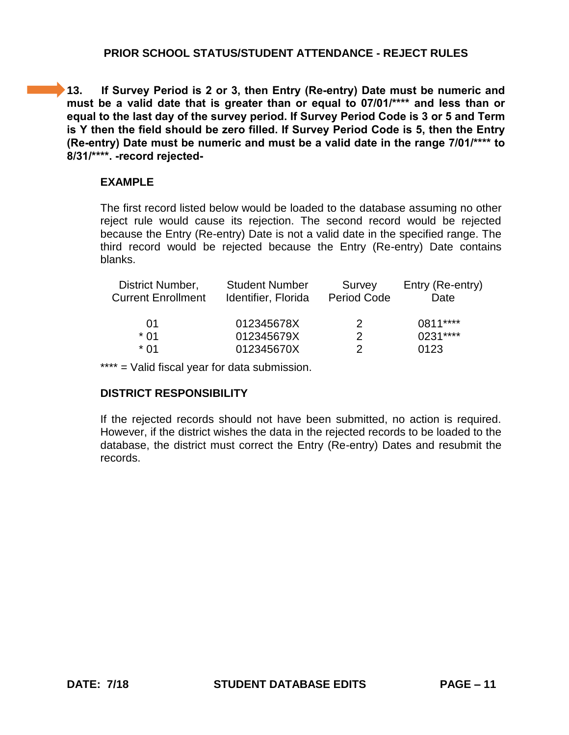**13. If Survey Period is 2 or 3, then Entry (Re-entry) Date must be numeric and must be a valid date that is greater than or equal to 07/01/\*\*\*\* and less than or equal to the last day of the survey period. If Survey Period Code is 3 or 5 and Term is Y then the field should be zero filled. If Survey Period Code is 5, then the Entry (Re-entry) Date must be numeric and must be a valid date in the range 7/01/\*\*\*\* to 8/31/\*\*\*\*. -record rejected-**

#### **EXAMPLE**

The first record listed below would be loaded to the database assuming no other reject rule would cause its rejection. The second record would be rejected because the Entry (Re-entry) Date is not a valid date in the specified range. The third record would be rejected because the Entry (Re-entry) Date contains blanks.

| District Number,<br><b>Current Enrollment</b> | <b>Student Number</b><br>Identifier, Florida | Survey<br><b>Period Code</b> | Entry (Re-entry)<br>Date |
|-----------------------------------------------|----------------------------------------------|------------------------------|--------------------------|
| O1                                            | 012345678X                                   | $\mathcal{P}$                | $0811***$                |
| * በ1                                          | 012345679X                                   | 2                            | $0231***$                |
| * በ1                                          | 012345670X                                   | 2                            | 0123                     |

\*\*\*\* = Valid fiscal year for data submission.

# **DISTRICT RESPONSIBILITY**

If the rejected records should not have been submitted, no action is required. However, if the district wishes the data in the rejected records to be loaded to the database, the district must correct the Entry (Re-entry) Dates and resubmit the records.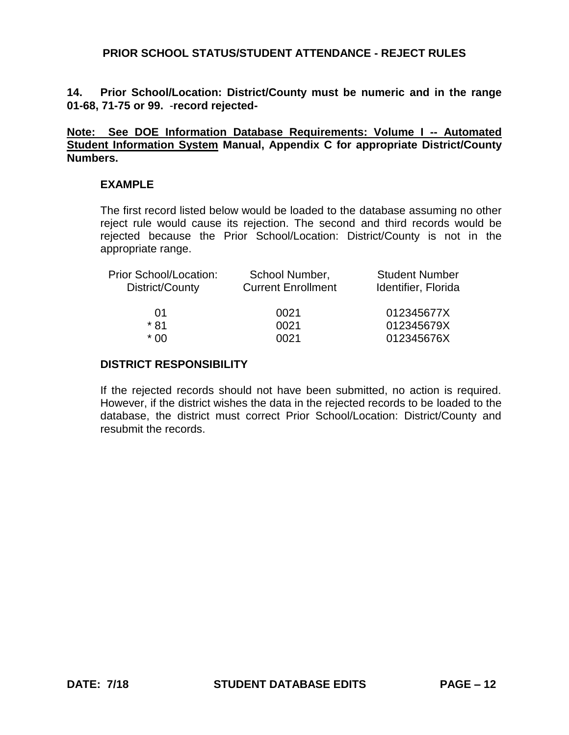**14. Prior School/Location: District/County must be numeric and in the range 01-68, 71-75 or 99.** -**record rejected-**

**Note: See DOE Information Database Requirements: Volume I -- Automated Student Information System Manual, Appendix C for appropriate District/County Numbers.**

#### **EXAMPLE**

The first record listed below would be loaded to the database assuming no other reject rule would cause its rejection. The second and third records would be rejected because the Prior School/Location: District/County is not in the appropriate range.

| <b>Prior School/Location:</b><br>District/County | School Number,<br><b>Current Enrollment</b> | <b>Student Number</b><br>Identifier, Florida |
|--------------------------------------------------|---------------------------------------------|----------------------------------------------|
|                                                  |                                             |                                              |
| O1                                               | 0021                                        | 012345677X                                   |
| * 81                                             | 0021                                        | 012345679X                                   |
| * በበ                                             | 0021                                        | 012345676X                                   |

# **DISTRICT RESPONSIBILITY**

If the rejected records should not have been submitted, no action is required. However, if the district wishes the data in the rejected records to be loaded to the database, the district must correct Prior School/Location: District/County and resubmit the records.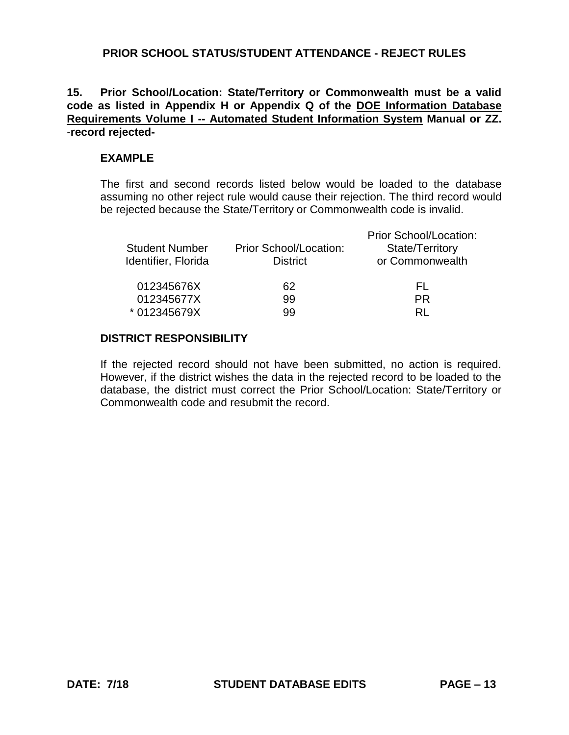# **15. Prior School/Location: State/Territory or Commonwealth must be a valid code as listed in Appendix H or Appendix Q of the DOE Information Database Requirements Volume I -- Automated Student Information System Manual or ZZ.**  -**record rejected-**

#### **EXAMPLE**

The first and second records listed below would be loaded to the database assuming no other reject rule would cause their rejection. The third record would be rejected because the State/Territory or Commonwealth code is invalid.

| <b>Student Number</b><br>Identifier, Florida | Prior School/Location:<br><b>District</b> | Prior School/Location:<br>State/Territory<br>or Commonwealth |
|----------------------------------------------|-------------------------------------------|--------------------------------------------------------------|
| 012345676X<br>012345677X                     | 62<br>99                                  | FL.<br><b>PR</b>                                             |
| * 012345679X                                 | 99                                        | RL                                                           |

## **DISTRICT RESPONSIBILITY**

If the rejected record should not have been submitted, no action is required. However, if the district wishes the data in the rejected record to be loaded to the database, the district must correct the Prior School/Location: State/Territory or Commonwealth code and resubmit the record.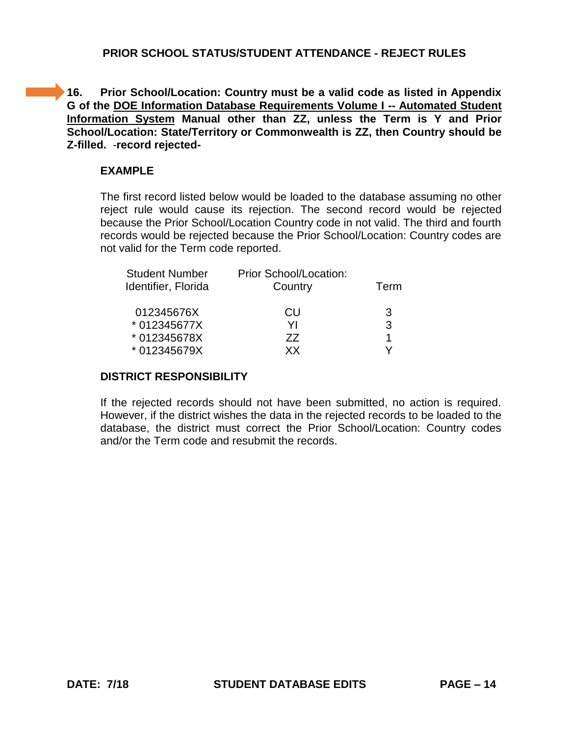**16. Prior School/Location: Country must be a valid code as listed in Appendix G of the DOE Information Database Requirements Volume I -- Automated Student Information System Manual other than ZZ, unless the Term is Y and Prior School/Location: State/Territory or Commonwealth is ZZ, then Country should be Z-filled.** -**record rejected-**

#### **EXAMPLE**

The first record listed below would be loaded to the database assuming no other reject rule would cause its rejection. The second record would be rejected because the Prior School/Location Country code in not valid. The third and fourth records would be rejected because the Prior School/Location: Country codes are not valid for the Term code reported.

| <b>Student Number</b> | Prior School/Location: | Term |
|-----------------------|------------------------|------|
| Identifier, Florida   | Country                |      |
| 012345676X            | CU                     | 3    |
| * 012345677X          | ΥI                     | 3    |
| * 012345678X          | 77                     | 1    |
| * 012345679X          | xх                     |      |

# **DISTRICT RESPONSIBILITY**

If the rejected records should not have been submitted, no action is required. However, if the district wishes the data in the rejected records to be loaded to the database, the district must correct the Prior School/Location: Country codes and/or the Term code and resubmit the records.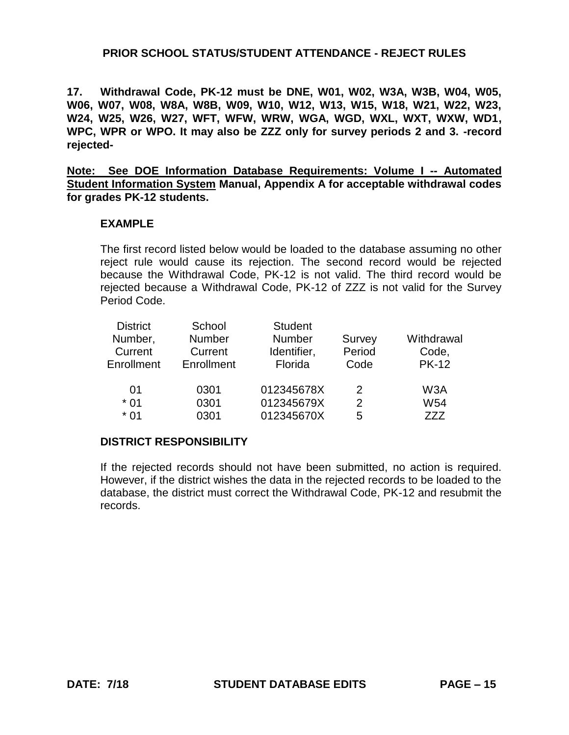**17. Withdrawal Code, PK-12 must be DNE, W01, W02, W3A, W3B, W04, W05, W06, W07, W08, W8A, W8B, W09, W10, W12, W13, W15, W18, W21, W22, W23, W24, W25, W26, W27, WFT, WFW, WRW, WGA, WGD, WXL, WXT, WXW, WD1, WPC, WPR or WPO. It may also be ZZZ only for survey periods 2 and 3. -record rejected-**

**Note: See DOE Information Database Requirements: Volume I -- Automated Student Information System Manual, Appendix A for acceptable withdrawal codes for grades PK-12 students.** 

#### **EXAMPLE**

The first record listed below would be loaded to the database assuming no other reject rule would cause its rejection. The second record would be rejected because the Withdrawal Code, PK-12 is not valid. The third record would be rejected because a Withdrawal Code, PK-12 of ZZZ is not valid for the Survey Period Code.

| <b>District</b> | School        | <b>Student</b> |        |                 |
|-----------------|---------------|----------------|--------|-----------------|
| Number,         | <b>Number</b> | <b>Number</b>  | Survey | Withdrawal      |
| Current         | Current       | Identifier,    | Period | Code,           |
| Enrollment      | Enrollment    | Florida        | Code   | <b>PK-12</b>    |
|                 |               |                |        |                 |
| 01              | 0301          | 012345678X     | 2      | W3A             |
| $*01$           | 0301          | 012345679X     | 2      | W <sub>54</sub> |
| * 01            | 0301          | 012345670X     | 5      | 777             |

# **DISTRICT RESPONSIBILITY**

If the rejected records should not have been submitted, no action is required. However, if the district wishes the data in the rejected records to be loaded to the database, the district must correct the Withdrawal Code, PK-12 and resubmit the records.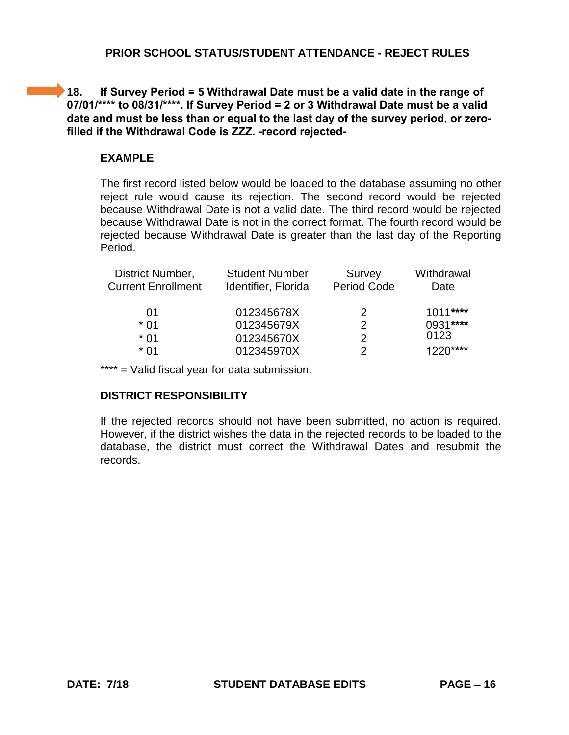# **18. If Survey Period = 5 Withdrawal Date must be a valid date in the range of 07/01/\*\*\*\* to 08/31/\*\*\*\*. If Survey Period = 2 or 3 Withdrawal Date must be a valid date and must be less than or equal to the last day of the survey period, or zerofilled if the Withdrawal Code is ZZZ. -record rejected-**

# **EXAMPLE**

The first record listed below would be loaded to the database assuming no other reject rule would cause its rejection. The second record would be rejected because Withdrawal Date is not a valid date. The third record would be rejected because Withdrawal Date is not in the correct format. The fourth record would be rejected because Withdrawal Date is greater than the last day of the Reporting Period.

| <b>Student Number</b><br>Identifier, Florida | Survey<br><b>Period Code</b> | Withdrawal<br>Date |
|----------------------------------------------|------------------------------|--------------------|
| 012345678X                                   | 2                            | $1011***$          |
| 012345679X                                   | $\mathcal{P}$                | 0931****           |
| 012345670X                                   | 2                            | 0123               |
| 012345970X                                   | 2                            | $1220***$          |
|                                              |                              |                    |

\*\*\*\* = Valid fiscal year for data submission.

# **DISTRICT RESPONSIBILITY**

If the rejected records should not have been submitted, no action is required. However, if the district wishes the data in the rejected records to be loaded to the database, the district must correct the Withdrawal Dates and resubmit the records.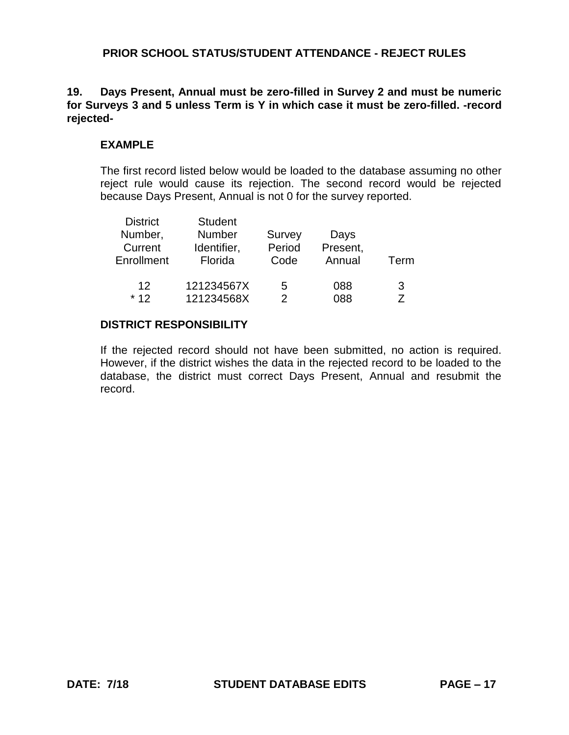#### **19. Days Present, Annual must be zero-filled in Survey 2 and must be numeric for Surveys 3 and 5 unless Term is Y in which case it must be zero-filled. -record rejected-**

#### **EXAMPLE**

The first record listed below would be loaded to the database assuming no other reject rule would cause its rejection. The second record would be rejected because Days Present, Annual is not 0 for the survey reported.

| <b>District</b> | <b>Student</b> |        |          |      |
|-----------------|----------------|--------|----------|------|
| Number,         | <b>Number</b>  | Survey | Days     |      |
| Current         | Identifier,    | Period | Present, |      |
| Enrollment      | Florida        | Code   | Annual   | Term |
|                 |                |        |          |      |
| 12              | 121234567X     | 5      | 088      | 3    |
| $*12$           | 121234568X     | 2      | 088      |      |
|                 |                |        |          |      |

#### **DISTRICT RESPONSIBILITY**

If the rejected record should not have been submitted, no action is required. However, if the district wishes the data in the rejected record to be loaded to the database, the district must correct Days Present, Annual and resubmit the record.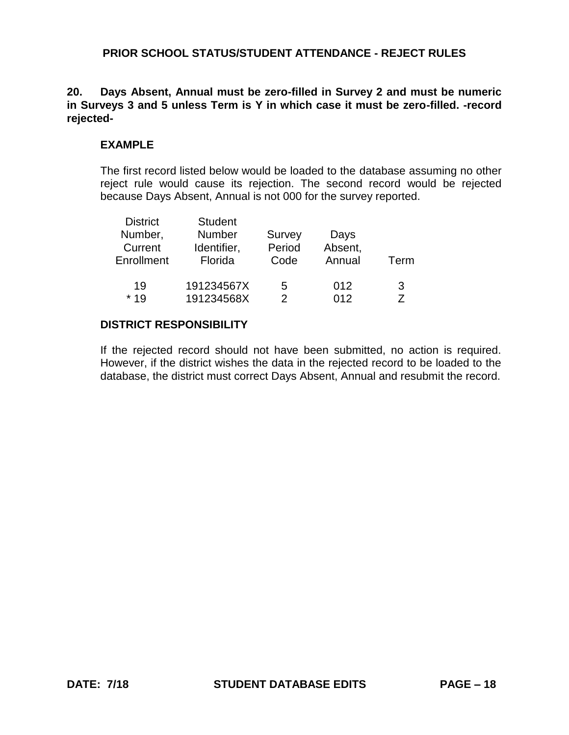#### **20. Days Absent, Annual must be zero-filled in Survey 2 and must be numeric in Surveys 3 and 5 unless Term is Y in which case it must be zero-filled. -record rejected-**

#### **EXAMPLE**

The first record listed below would be loaded to the database assuming no other reject rule would cause its rejection. The second record would be rejected because Days Absent, Annual is not 000 for the survey reported.

| <b>District</b> | <b>Student</b> |        |         |      |
|-----------------|----------------|--------|---------|------|
| Number,         | <b>Number</b>  | Survey | Days    |      |
| Current         | Identifier,    | Period | Absent, |      |
| Enrollment      | Florida        | Code   | Annual  | Term |
|                 |                |        |         |      |
| 19              | 191234567X     | 5      | 012     | 3    |
| $*19$           | 191234568X     | 2      | 012     |      |
|                 |                |        |         |      |

#### **DISTRICT RESPONSIBILITY**

If the rejected record should not have been submitted, no action is required. However, if the district wishes the data in the rejected record to be loaded to the database, the district must correct Days Absent, Annual and resubmit the record.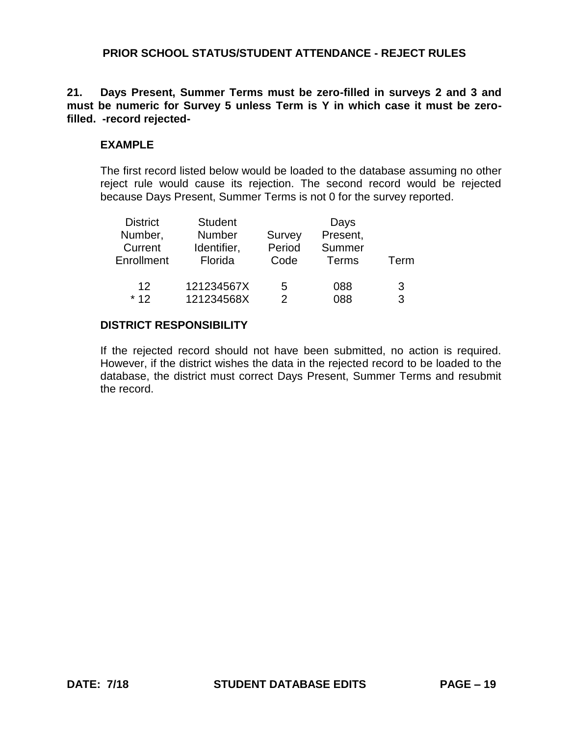### **21. Days Present, Summer Terms must be zero-filled in surveys 2 and 3 and must be numeric for Survey 5 unless Term is Y in which case it must be zerofilled. -record rejected-**

#### **EXAMPLE**

The first record listed below would be loaded to the database assuming no other reject rule would cause its rejection. The second record would be rejected because Days Present, Summer Terms is not 0 for the survey reported.

| <b>Student</b> |                          | Days     |      |
|----------------|--------------------------|----------|------|
| Number         | Survey                   | Present, |      |
| Identifier,    | Period                   | Summer   |      |
| Florida        | Code                     | Terms    | Term |
|                |                          |          |      |
|                | 5                        | 088      | 3    |
|                | 2                        | 088      | 3    |
|                | 121234567X<br>121234568X |          |      |

#### **DISTRICT RESPONSIBILITY**

If the rejected record should not have been submitted, no action is required. However, if the district wishes the data in the rejected record to be loaded to the database, the district must correct Days Present, Summer Terms and resubmit the record.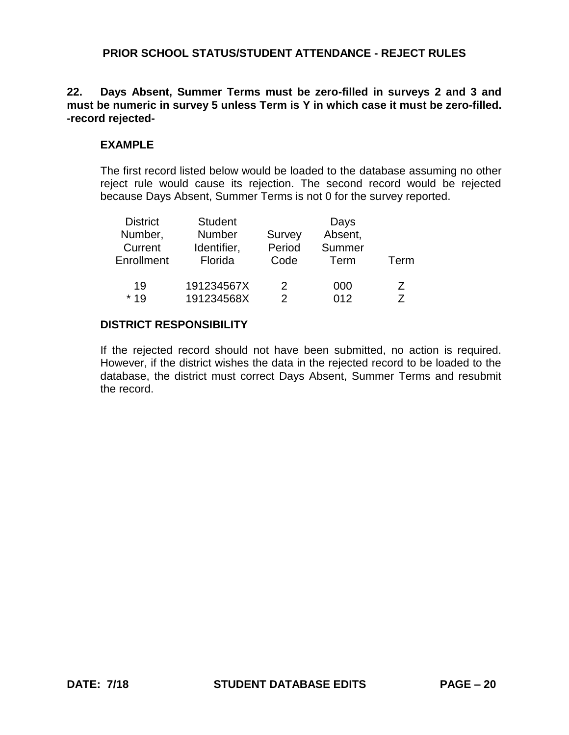#### **22. Days Absent, Summer Terms must be zero-filled in surveys 2 and 3 and must be numeric in survey 5 unless Term is Y in which case it must be zero-filled. -record rejected-**

#### **EXAMPLE**

The first record listed below would be loaded to the database assuming no other reject rule would cause its rejection. The second record would be rejected because Days Absent, Summer Terms is not 0 for the survey reported.

| <b>District</b> | <b>Student</b> |        | Days    |      |
|-----------------|----------------|--------|---------|------|
| Number,         | <b>Number</b>  | Survey | Absent, |      |
| Current         | Identifier,    | Period | Summer  |      |
| Enrollment      | Florida        | Code   | Term    | Term |
| 19              | 191234567X     | 2      | 000     | 7    |
| $*19$           | 191234568X     | 2      | 012     | 7    |

#### **DISTRICT RESPONSIBILITY**

If the rejected record should not have been submitted, no action is required. However, if the district wishes the data in the rejected record to be loaded to the database, the district must correct Days Absent, Summer Terms and resubmit the record.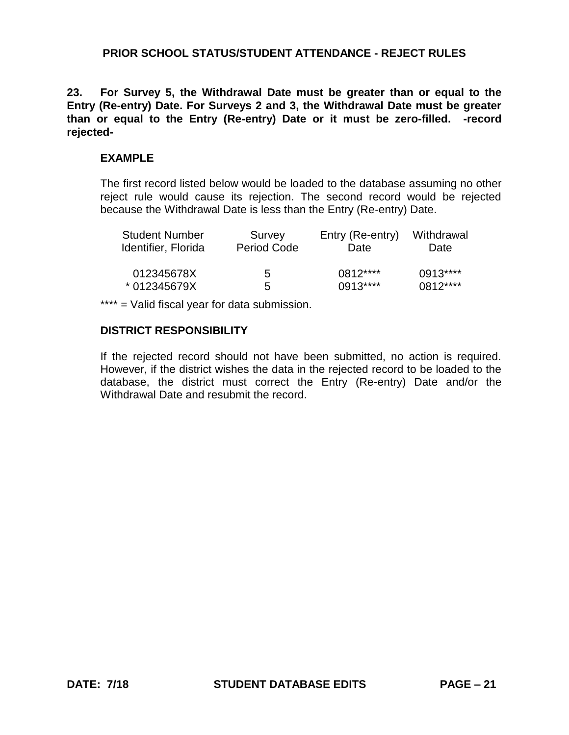**23. For Survey 5, the Withdrawal Date must be greater than or equal to the Entry (Re-entry) Date. For Surveys 2 and 3, the Withdrawal Date must be greater than or equal to the Entry (Re-entry) Date or it must be zero-filled. -record rejected-**

#### **EXAMPLE**

The first record listed below would be loaded to the database assuming no other reject rule would cause its rejection. The second record would be rejected because the Withdrawal Date is less than the Entry (Re-entry) Date.

| <b>Student Number</b> | Survey             | Entry (Re-entry) | Withdrawal |
|-----------------------|--------------------|------------------|------------|
| Identifier, Florida   | <b>Period Code</b> | Date             | Date       |
| 012345678X            | 5                  | $0812***$        | $0.913***$ |
| * 012345679X          | 5                  | $0913***$        | 0812****   |

\*\*\*\* = Valid fiscal year for data submission.

# **DISTRICT RESPONSIBILITY**

If the rejected record should not have been submitted, no action is required. However, if the district wishes the data in the rejected record to be loaded to the database, the district must correct the Entry (Re-entry) Date and/or the Withdrawal Date and resubmit the record.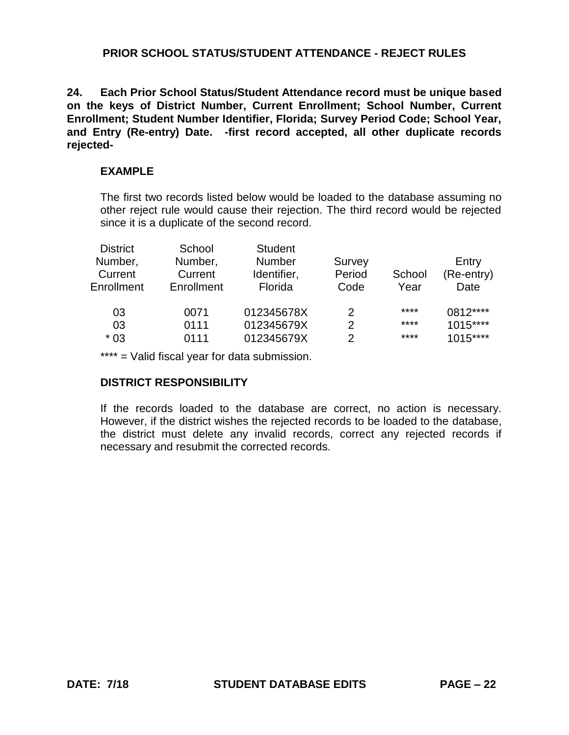**24. Each Prior School Status/Student Attendance record must be unique based on the keys of District Number, Current Enrollment; School Number, Current Enrollment; Student Number Identifier, Florida; Survey Period Code; School Year, and Entry (Re-entry) Date. -first record accepted, all other duplicate records rejected-**

### **EXAMPLE**

The first two records listed below would be loaded to the database assuming no other reject rule would cause their rejection. The third record would be rejected since it is a duplicate of the second record.

| <b>District</b> | School     | <b>Student</b> |        |        |            |
|-----------------|------------|----------------|--------|--------|------------|
| Number,         | Number,    | <b>Number</b>  | Survey |        | Entry      |
| Current         | Current    | Identifier,    | Period | School | (Re-entry) |
| Enrollment      | Enrollment | Florida        | Code   | Year   | Date       |
| 03              | 0071       | 012345678X     | 2      | ****   | 0812****   |
| 03              | 0111       | 012345679X     | 2      | ****   | $1015***$  |
| $*03$           | 0111       | 012345679X     | 2      | ****   | $1015***$  |

\*\*\*\* = Valid fiscal year for data submission.

# **DISTRICT RESPONSIBILITY**

If the records loaded to the database are correct, no action is necessary. However, if the district wishes the rejected records to be loaded to the database, the district must delete any invalid records, correct any rejected records if necessary and resubmit the corrected records.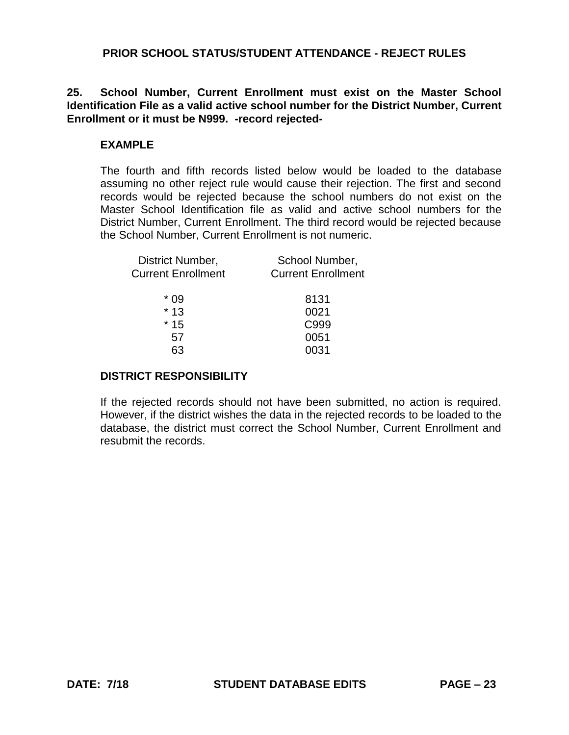**25. School Number, Current Enrollment must exist on the Master School Identification File as a valid active school number for the District Number, Current Enrollment or it must be N999. -record rejected-**

### **EXAMPLE**

The fourth and fifth records listed below would be loaded to the database assuming no other reject rule would cause their rejection. The first and second records would be rejected because the school numbers do not exist on the Master School Identification file as valid and active school numbers for the District Number, Current Enrollment. The third record would be rejected because the School Number, Current Enrollment is not numeric.

| District Number,<br><b>Current Enrollment</b> | School Number,<br><b>Current Enrollment</b> |
|-----------------------------------------------|---------------------------------------------|
| * በ9                                          | 8131                                        |
| $*13$                                         | 0021                                        |
| $*15$                                         | C999                                        |
| 57                                            | 0051                                        |
|                                               | )31                                         |

#### **DISTRICT RESPONSIBILITY**

If the rejected records should not have been submitted, no action is required. However, if the district wishes the data in the rejected records to be loaded to the database, the district must correct the School Number, Current Enrollment and resubmit the records.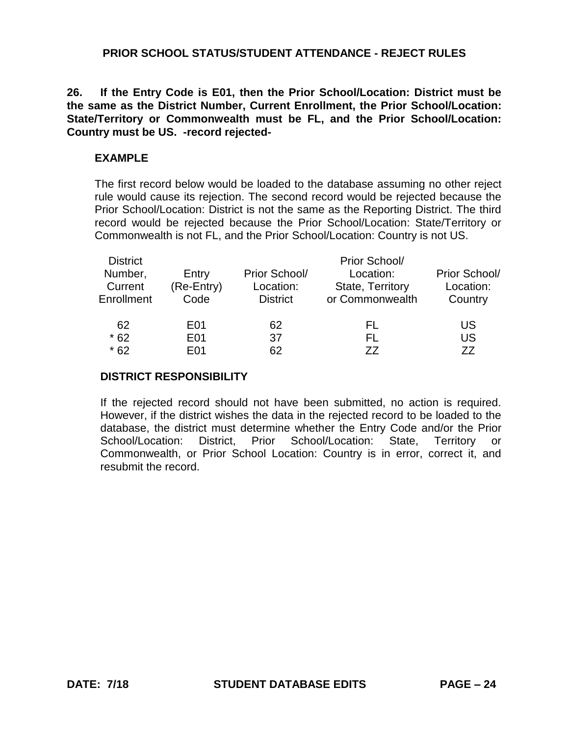**26. If the Entry Code is E01, then the Prior School/Location: District must be the same as the District Number, Current Enrollment, the Prior School/Location: State/Territory or Commonwealth must be FL, and the Prior School/Location: Country must be US. -record rejected-**

# **EXAMPLE**

The first record below would be loaded to the database assuming no other reject rule would cause its rejection. The second record would be rejected because the Prior School/Location: District is not the same as the Reporting District. The third record would be rejected because the Prior School/Location: State/Territory or Commonwealth is not FL, and the Prior School/Location: Country is not US.

| <b>District</b> |                  |                 | Prior School/    |               |
|-----------------|------------------|-----------------|------------------|---------------|
| Number,         | Entry            | Prior School/   | Location:        | Prior School/ |
| Current         | (Re-Entry)       | Location:       | State, Territory | Location:     |
| Enrollment      | Code             | <b>District</b> | or Commonwealth  | Country       |
| 62              | E01              | 62              | FL.              | US            |
| $*62$           | E01              | 37              | EL.              | US            |
| $*62$           | F <sub>0</sub> 1 | 62              | 77               | 77            |

# **DISTRICT RESPONSIBILITY**

If the rejected record should not have been submitted, no action is required. However, if the district wishes the data in the rejected record to be loaded to the database, the district must determine whether the Entry Code and/or the Prior School/Location: District, Prior School/Location: State, Territory or Commonwealth, or Prior School Location: Country is in error, correct it, and resubmit the record.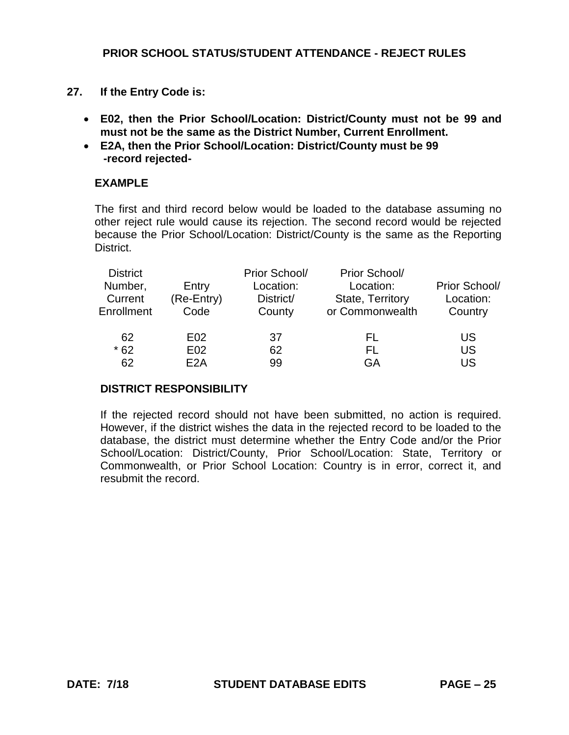- **27. If the Entry Code is:**
	- **E02, then the Prior School/Location: District/County must not be 99 and must not be the same as the District Number, Current Enrollment.**
	- **E2A, then the Prior School/Location: District/County must be 99 -record rejected-**

# **EXAMPLE**

The first and third record below would be loaded to the database assuming no other reject rule would cause its rejection. The second record would be rejected because the Prior School/Location: District/County is the same as the Reporting District.

| <b>District</b><br>Number,<br>Current<br>Enrollment | Entry<br>(Re-Entry)<br>Code | Prior School/<br>Location:<br>District/<br>County | Prior School/<br>Location:<br>State, Territory<br>or Commonwealth | Prior School/<br>Location:<br>Country |
|-----------------------------------------------------|-----------------------------|---------------------------------------------------|-------------------------------------------------------------------|---------------------------------------|
| 62                                                  | E02                         | 37                                                | FL.                                                               | US                                    |
| $*62$                                               | E <sub>02</sub>             | 62                                                | FL                                                                | US                                    |
| 62                                                  | F <sub>2</sub> A            | 99                                                | GА                                                                | US                                    |

# **DISTRICT RESPONSIBILITY**

If the rejected record should not have been submitted, no action is required. However, if the district wishes the data in the rejected record to be loaded to the database, the district must determine whether the Entry Code and/or the Prior School/Location: District/County, Prior School/Location: State, Territory or Commonwealth, or Prior School Location: Country is in error, correct it, and resubmit the record.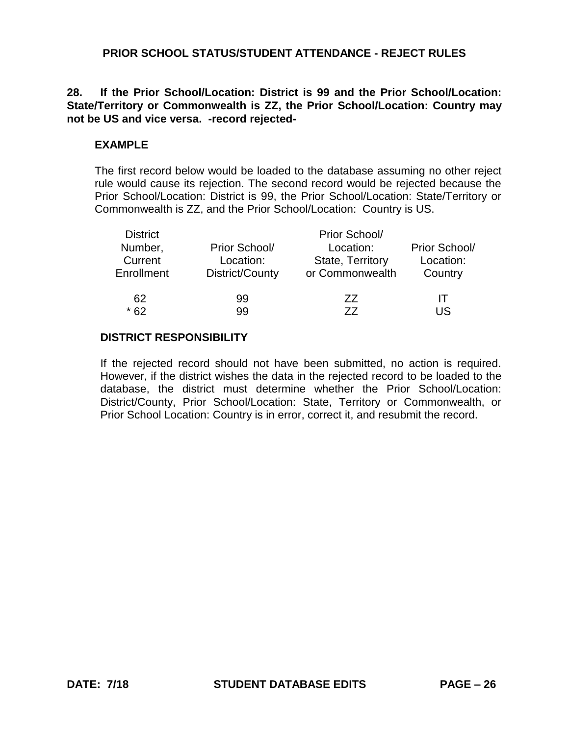# **28. If the Prior School/Location: District is 99 and the Prior School/Location: State/Territory or Commonwealth is ZZ, the Prior School/Location: Country may not be US and vice versa. -record rejected-**

# **EXAMPLE**

The first record below would be loaded to the database assuming no other reject rule would cause its rejection. The second record would be rejected because the Prior School/Location: District is 99, the Prior School/Location: State/Territory or Commonwealth is ZZ, and the Prior School/Location: Country is US.

| <b>District</b> |                 | Prior School/           |               |  |
|-----------------|-----------------|-------------------------|---------------|--|
| Number,         | Prior School/   | Location:               | Prior School/ |  |
| Current         | Location:       | <b>State, Territory</b> | Location:     |  |
| Enrollment      | District/County | or Commonwealth         | Country       |  |
| 62              | 99              | 77                      | IТ            |  |
| * 62            | 99              | 77                      | LIS           |  |

# **DISTRICT RESPONSIBILITY**

If the rejected record should not have been submitted, no action is required. However, if the district wishes the data in the rejected record to be loaded to the database, the district must determine whether the Prior School/Location: District/County, Prior School/Location: State, Territory or Commonwealth, or Prior School Location: Country is in error, correct it, and resubmit the record.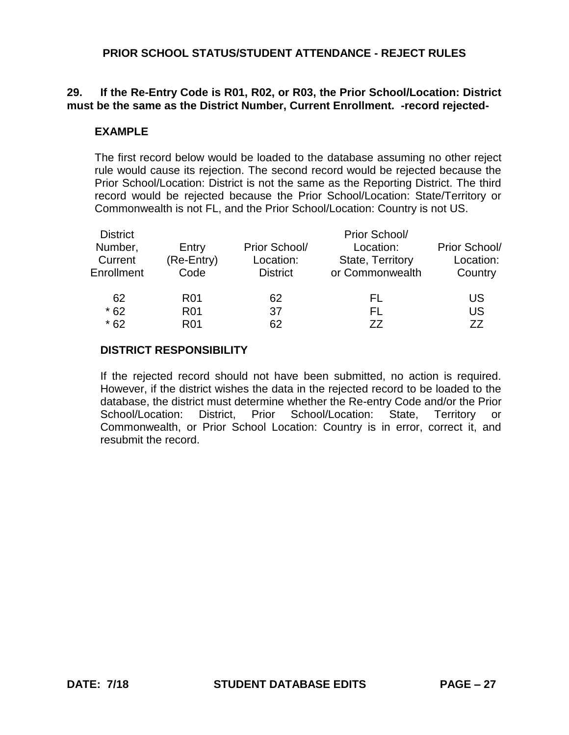# **29. If the Re-Entry Code is R01, R02, or R03, the Prior School/Location: District must be the same as the District Number, Current Enrollment. -record rejected-**

### **EXAMPLE**

The first record below would be loaded to the database assuming no other reject rule would cause its rejection. The second record would be rejected because the Prior School/Location: District is not the same as the Reporting District. The third record would be rejected because the Prior School/Location: State/Territory or Commonwealth is not FL, and the Prior School/Location: Country is not US.

| <b>District</b><br>Number,<br>Current<br>Enrollment | Entry<br>(Re-Entry)<br>Code        | Prior School/<br>Location:<br><b>District</b> | Prior School/<br>Location:<br>State, Territory<br>or Commonwealth | Prior School/<br>Location:<br>Country |
|-----------------------------------------------------|------------------------------------|-----------------------------------------------|-------------------------------------------------------------------|---------------------------------------|
| 62<br>$*62$                                         | R <sub>01</sub><br>R <sub>01</sub> | 62<br>37                                      | FL<br>FL.                                                         | US<br>US                              |
| $*62$                                               | R <sub>01</sub>                    | 62                                            | 77                                                                | 77                                    |

#### **DISTRICT RESPONSIBILITY**

If the rejected record should not have been submitted, no action is required. However, if the district wishes the data in the rejected record to be loaded to the database, the district must determine whether the Re-entry Code and/or the Prior School/Location: District, Prior School/Location: State, Territory or Commonwealth, or Prior School Location: Country is in error, correct it, and resubmit the record.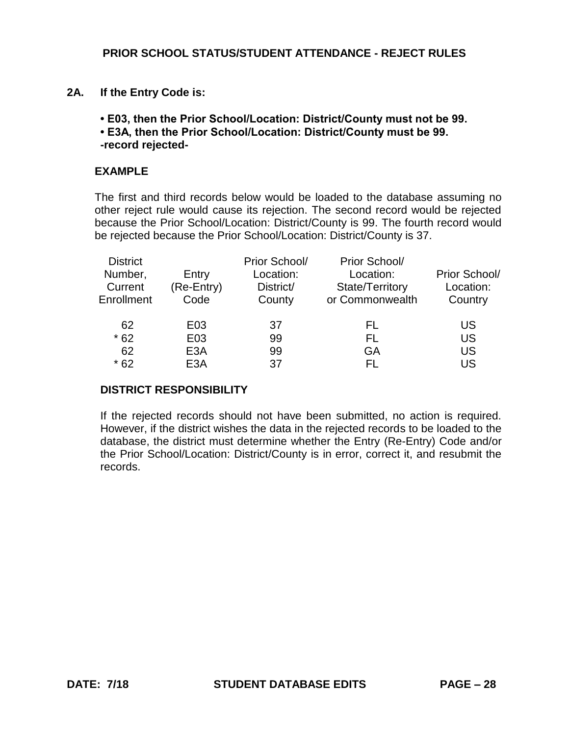- **2A. If the Entry Code is:** 
	- **E03, then the Prior School/Location: District/County must not be 99.**
	- **E3A, then the Prior School/Location: District/County must be 99. -record rejected-**

#### **EXAMPLE**

The first and third records below would be loaded to the database assuming no other reject rule would cause its rejection. The second record would be rejected because the Prior School/Location: District/County is 99. The fourth record would be rejected because the Prior School/Location: District/County is 37.

| <b>District</b> |                  | Prior School/ | Prior School/   |               |
|-----------------|------------------|---------------|-----------------|---------------|
| Number,         | Entry            | Location:     | Location:       | Prior School/ |
| Current         | (Re-Entry)       | District/     | State/Territory | Location:     |
| Enrollment      | Code             | County        | or Commonwealth | Country       |
|                 |                  |               |                 |               |
| 62              | E03              | 37            | FL.             | US            |
| $*62$           | E03              | 99            | FL.             | US            |
| 62              | E <sub>3</sub> A | 99            | GA              | US            |
| $*62$           | E <sub>3</sub> A | 37            | FL.             | US            |

#### **DISTRICT RESPONSIBILITY**

If the rejected records should not have been submitted, no action is required. However, if the district wishes the data in the rejected records to be loaded to the database, the district must determine whether the Entry (Re-Entry) Code and/or the Prior School/Location: District/County is in error, correct it, and resubmit the records.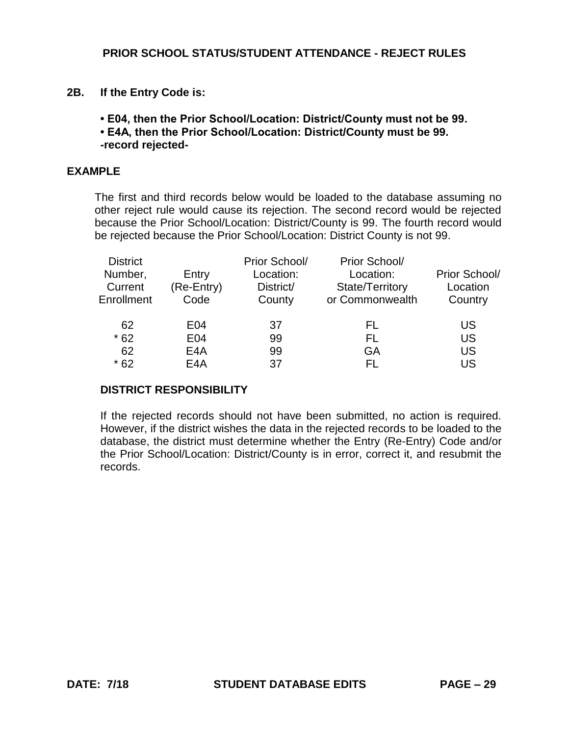**2B. If the Entry Code is:** 

**• E04, then the Prior School/Location: District/County must not be 99.** 

**• E4A, then the Prior School/Location: District/County must be 99.** 

**-record rejected-**

# **EXAMPLE**

The first and third records below would be loaded to the database assuming no other reject rule would cause its rejection. The second record would be rejected because the Prior School/Location: District/County is 99. The fourth record would be rejected because the Prior School/Location: District County is not 99.

| <b>District</b><br>Number,<br>Current | Entry              | Prior School/<br>Location:<br>District/ | Prior School/<br>Location:         | Prior School/<br>Location |
|---------------------------------------|--------------------|-----------------------------------------|------------------------------------|---------------------------|
| Enrollment                            | (Re-Entry)<br>Code | County                                  | State/Territory<br>or Commonwealth | Country                   |
| 62                                    | E04                | 37                                      | FL                                 | US                        |
| $*62$                                 | E04                | 99                                      | FL.                                | <b>US</b>                 |
| 62                                    | E <sub>4</sub> A   | 99                                      | GA                                 | US                        |
| $*62$                                 | E4A                | 37                                      | FL.                                | US                        |

# **DISTRICT RESPONSIBILITY**

If the rejected records should not have been submitted, no action is required. However, if the district wishes the data in the rejected records to be loaded to the database, the district must determine whether the Entry (Re-Entry) Code and/or the Prior School/Location: District/County is in error, correct it, and resubmit the records.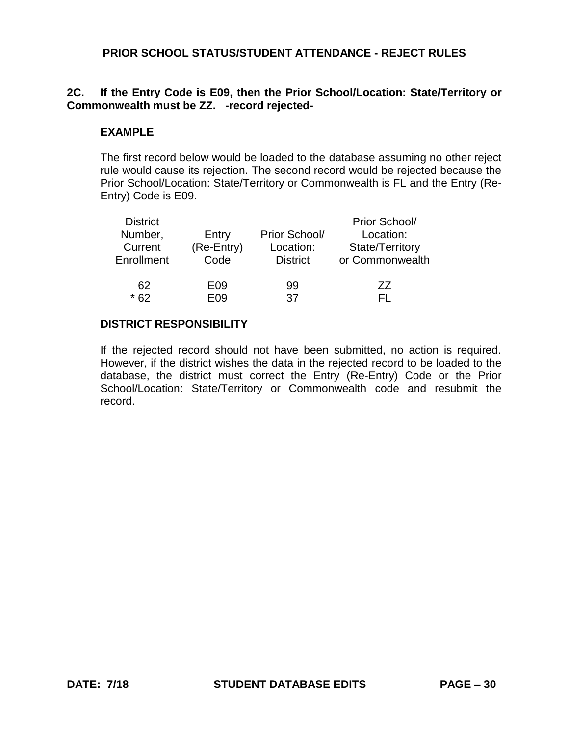# **2C. If the Entry Code is E09, then the Prior School/Location: State/Territory or Commonwealth must be ZZ. -record rejected-**

### **EXAMPLE**

The first record below would be loaded to the database assuming no other reject rule would cause its rejection. The second record would be rejected because the Prior School/Location: State/Territory or Commonwealth is FL and the Entry (Re-Entry) Code is E09.

| <b>District</b> |            |                 | Prior School/   |
|-----------------|------------|-----------------|-----------------|
| Number,         | Entry      | Prior School/   | Location:       |
| Current         | (Re-Entry) | Location:       | State/Territory |
| Enrollment      | Code       | <b>District</b> | or Commonwealth |
|                 |            |                 |                 |
| 62              | E09        | 99              | 77              |
| $*62$           | F09        | 37              |                 |

#### **DISTRICT RESPONSIBILITY**

If the rejected record should not have been submitted, no action is required. However, if the district wishes the data in the rejected record to be loaded to the database, the district must correct the Entry (Re-Entry) Code or the Prior School/Location: State/Territory or Commonwealth code and resubmit the record.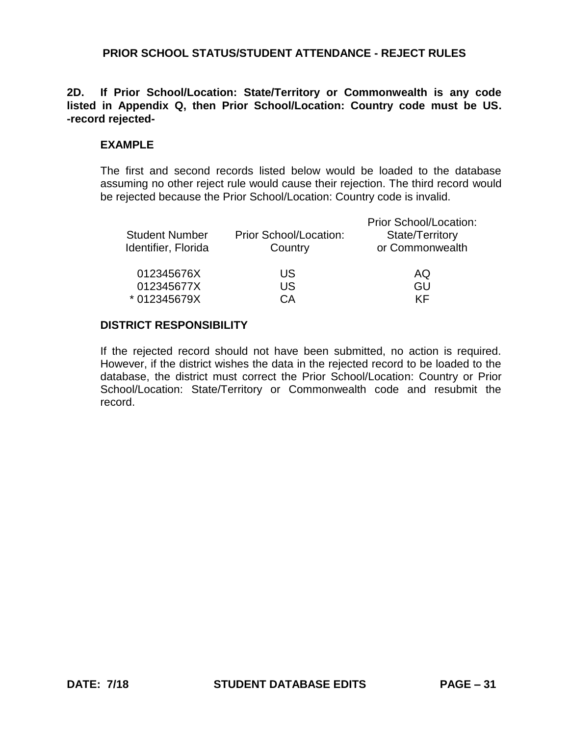# **2D. If Prior School/Location: State/Territory or Commonwealth is any code listed in Appendix Q, then Prior School/Location: Country code must be US. -record rejected-**

# **EXAMPLE**

The first and second records listed below would be loaded to the database assuming no other reject rule would cause their rejection. The third record would be rejected because the Prior School/Location: Country code is invalid.

| <b>Student Number</b><br>Identifier, Florida | Prior School/Location:<br>Country | <b>Prior School/Location:</b><br>State/Territory<br>or Commonwealth |
|----------------------------------------------|-----------------------------------|---------------------------------------------------------------------|
| 012345676X                                   | US.                               | AQ                                                                  |
| 012345677X                                   | US                                | GU                                                                  |
| * 012345679X                                 | CА                                | KF                                                                  |

# **DISTRICT RESPONSIBILITY**

If the rejected record should not have been submitted, no action is required. However, if the district wishes the data in the rejected record to be loaded to the database, the district must correct the Prior School/Location: Country or Prior School/Location: State/Territory or Commonwealth code and resubmit the record.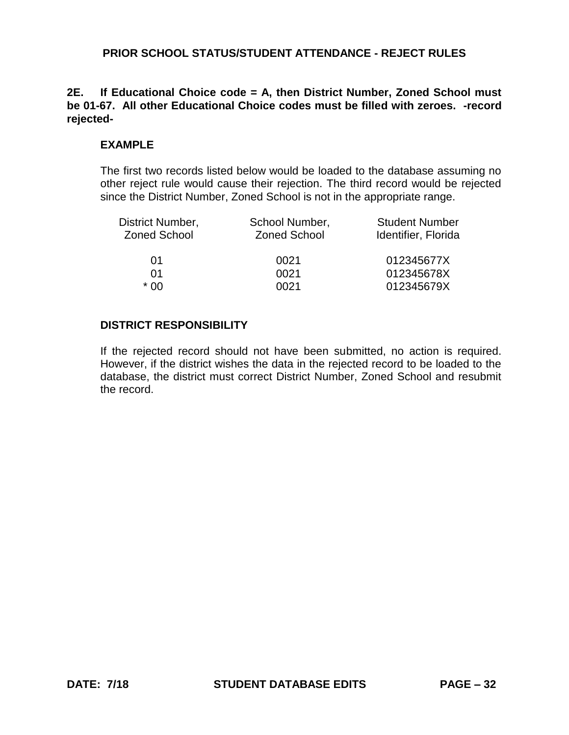### **2E. If Educational Choice code = A, then District Number, Zoned School must be 01-67. All other Educational Choice codes must be filled with zeroes. -record rejected-**

#### **EXAMPLE**

The first two records listed below would be loaded to the database assuming no other reject rule would cause their rejection. The third record would be rejected since the District Number, Zoned School is not in the appropriate range.

| School Number,<br><b>Zoned School</b> | <b>Student Number</b><br>Identifier, Florida |
|---------------------------------------|----------------------------------------------|
| 0021                                  | 012345677X                                   |
| 0021                                  | 012345678X                                   |
| 0021                                  | 012345679X                                   |
|                                       |                                              |

#### **DISTRICT RESPONSIBILITY**

If the rejected record should not have been submitted, no action is required. However, if the district wishes the data in the rejected record to be loaded to the database, the district must correct District Number, Zoned School and resubmit the record.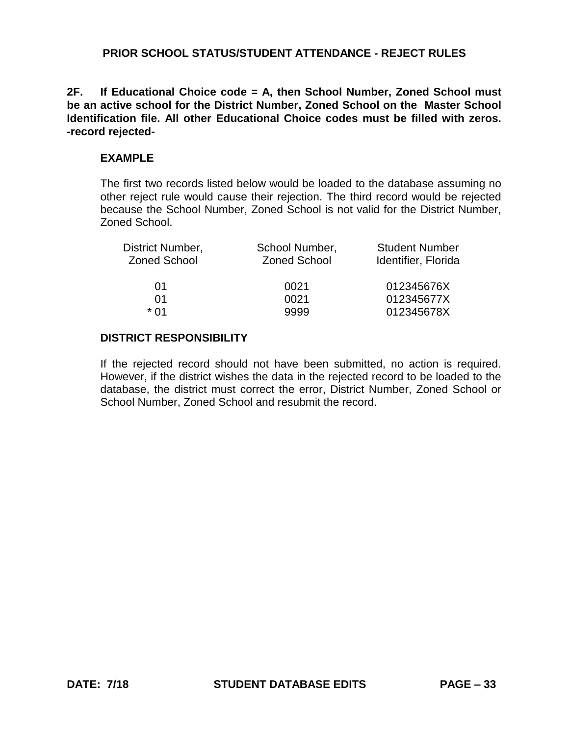**2F. If Educational Choice code = A, then School Number, Zoned School must be an active school for the District Number, Zoned School on the Master School Identification file. All other Educational Choice codes must be filled with zeros. -record rejected-**

#### **EXAMPLE**

The first two records listed below would be loaded to the database assuming no other reject rule would cause their rejection. The third record would be rejected because the School Number, Zoned School is not valid for the District Number, Zoned School.

| District Number,    | School Number,      | <b>Student Number</b> |
|---------------------|---------------------|-----------------------|
| <b>Zoned School</b> | <b>Zoned School</b> | Identifier, Florida   |
| 01                  | 0021                | 012345676X            |
| 01                  | 0021                | 012345677X            |
| * በ1                | 9999                | 012345678X            |

## **DISTRICT RESPONSIBILITY**

If the rejected record should not have been submitted, no action is required. However, if the district wishes the data in the rejected record to be loaded to the database, the district must correct the error, District Number, Zoned School or School Number, Zoned School and resubmit the record.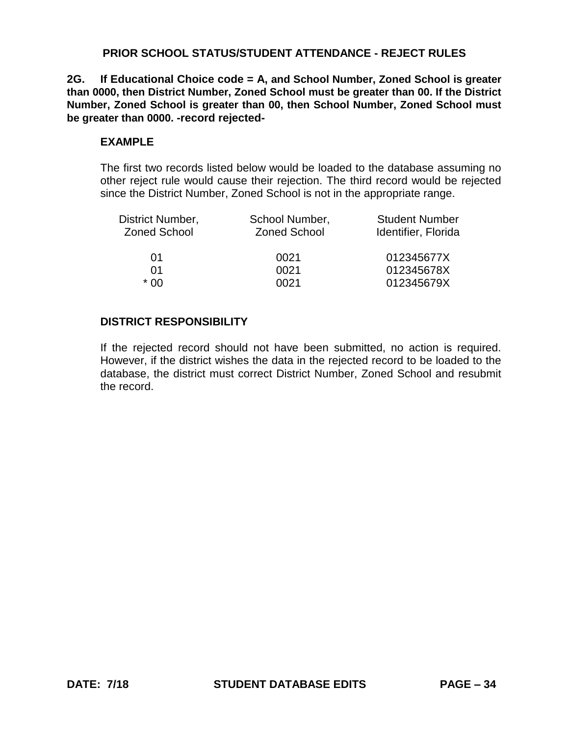**2G. If Educational Choice code = A, and School Number, Zoned School is greater than 0000, then District Number, Zoned School must be greater than 00. If the District Number, Zoned School is greater than 00, then School Number, Zoned School must be greater than 0000. -record rejected-**

### **EXAMPLE**

The first two records listed below would be loaded to the database assuming no other reject rule would cause their rejection. The third record would be rejected since the District Number, Zoned School is not in the appropriate range.

| District Number,<br><b>Zoned School</b> | School Number,<br><b>Zoned School</b> | <b>Student Number</b><br>Identifier, Florida |
|-----------------------------------------|---------------------------------------|----------------------------------------------|
| 01                                      | 0021                                  | 012345677X                                   |
| 01                                      | 0021                                  | 012345678X                                   |
| * በበ                                    | 0021                                  | 012345679X                                   |
|                                         |                                       |                                              |

# **DISTRICT RESPONSIBILITY**

If the rejected record should not have been submitted, no action is required. However, if the district wishes the data in the rejected record to be loaded to the database, the district must correct District Number, Zoned School and resubmit the record.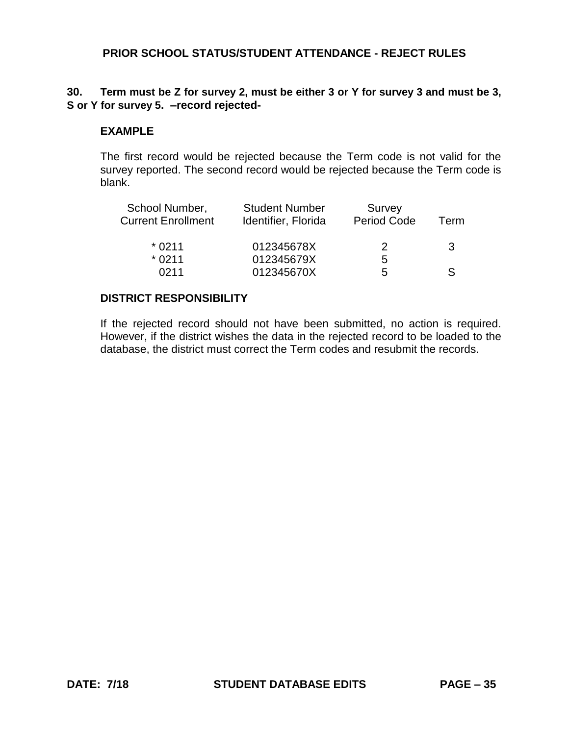#### **30. Term must be Z for survey 2, must be either 3 or Y for survey 3 and must be 3, S or Y for survey 5. –record rejected-**

#### **EXAMPLE**

The first record would be rejected because the Term code is not valid for the survey reported. The second record would be rejected because the Term code is blank.

| <b>Student Number</b><br>Identifier, Florida | Survey<br>Period Code | Term |
|----------------------------------------------|-----------------------|------|
| 012345678X                                   | 2                     | 3    |
| 012345679X                                   | b                     |      |
| 012345670X                                   | .h                    | S    |
|                                              |                       |      |

## **DISTRICT RESPONSIBILITY**

If the rejected record should not have been submitted, no action is required. However, if the district wishes the data in the rejected record to be loaded to the database, the district must correct the Term codes and resubmit the records.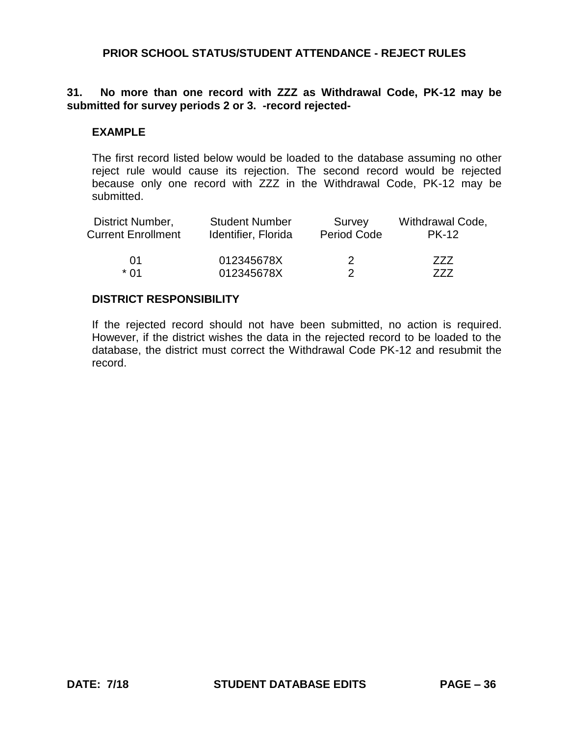# **31. No more than one record with ZZZ as Withdrawal Code, PK-12 may be submitted for survey periods 2 or 3. -record rejected-**

#### **EXAMPLE**

The first record listed below would be loaded to the database assuming no other reject rule would cause its rejection. The second record would be rejected because only one record with ZZZ in the Withdrawal Code, PK-12 may be submitted.

| District Number,          | <b>Student Number</b> | Survey             | Withdrawal Code, |
|---------------------------|-----------------------|--------------------|------------------|
| <b>Current Enrollment</b> | Identifier, Florida   | <b>Period Code</b> | <b>PK-12</b>     |
| 01                        | 012345678X            | 2                  | 777              |
| * በ1                      | 012345678X            |                    | 777              |

#### **DISTRICT RESPONSIBILITY**

If the rejected record should not have been submitted, no action is required. However, if the district wishes the data in the rejected record to be loaded to the database, the district must correct the Withdrawal Code PK-12 and resubmit the record.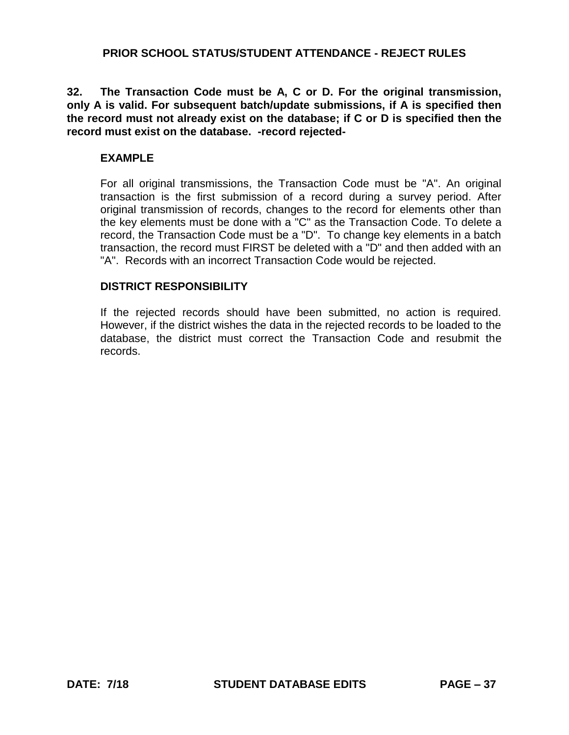**32. The Transaction Code must be A, C or D. For the original transmission, only A is valid. For subsequent batch/update submissions, if A is specified then the record must not already exist on the database; if C or D is specified then the record must exist on the database. -record rejected-**

#### **EXAMPLE**

For all original transmissions, the Transaction Code must be "A". An original transaction is the first submission of a record during a survey period. After original transmission of records, changes to the record for elements other than the key elements must be done with a "C" as the Transaction Code. To delete a record, the Transaction Code must be a "D". To change key elements in a batch transaction, the record must FIRST be deleted with a "D" and then added with an "A". Records with an incorrect Transaction Code would be rejected.

#### **DISTRICT RESPONSIBILITY**

If the rejected records should have been submitted, no action is required. However, if the district wishes the data in the rejected records to be loaded to the database, the district must correct the Transaction Code and resubmit the records.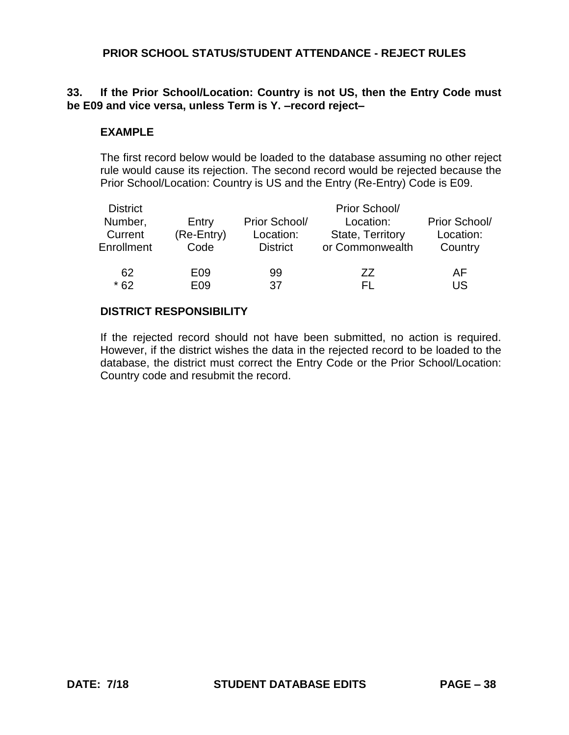# **33. If the Prior School/Location: Country is not US, then the Entry Code must be E09 and vice versa, unless Term is Y. –record reject–**

#### **EXAMPLE**

The first record below would be loaded to the database assuming no other reject rule would cause its rejection. The second record would be rejected because the Prior School/Location: Country is US and the Entry (Re-Entry) Code is E09.

| <b>District</b><br>Number,<br>Current<br>Enrollment | Entry<br>(Re-Entry)<br>Code | Prior School/<br>Location:<br><b>District</b> | Prior School/<br>Location:<br><b>State, Territory</b><br>or Commonwealth | Prior School/<br>Location:<br>Country |
|-----------------------------------------------------|-----------------------------|-----------------------------------------------|--------------------------------------------------------------------------|---------------------------------------|
| 62                                                  | E09                         | 99                                            | 77                                                                       | AF                                    |
| $*62$                                               | E <sub>09</sub>             | 37                                            | FL.                                                                      | US                                    |

## **DISTRICT RESPONSIBILITY**

If the rejected record should not have been submitted, no action is required. However, if the district wishes the data in the rejected record to be loaded to the database, the district must correct the Entry Code or the Prior School/Location: Country code and resubmit the record.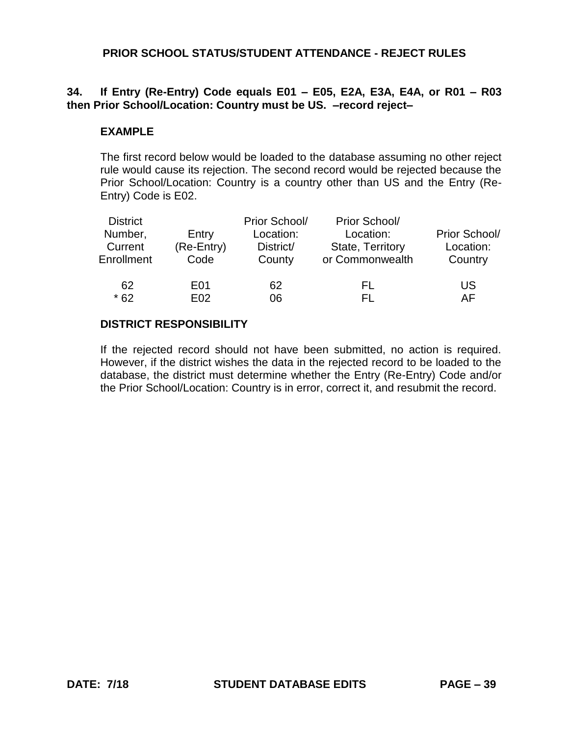# **34. If Entry (Re-Entry) Code equals E01 – E05, E2A, E3A, E4A, or R01 – R03 then Prior School/Location: Country must be US. –record reject–**

#### **EXAMPLE**

The first record below would be loaded to the database assuming no other reject rule would cause its rejection. The second record would be rejected because the Prior School/Location: Country is a country other than US and the Entry (Re-Entry) Code is E02.

| <b>District</b><br>Number,<br>Current<br>Enrollment | Entry<br>(Re-Entry)<br>Code | Prior School/<br>Location:<br>District/<br>County | Prior School/<br>Location:<br><b>State, Territory</b><br>or Commonwealth | Prior School/<br>Location:<br>Country |
|-----------------------------------------------------|-----------------------------|---------------------------------------------------|--------------------------------------------------------------------------|---------------------------------------|
| 62                                                  | E01                         | 62                                                | FL                                                                       | US                                    |
| $*62$                                               | E <sub>02</sub>             | 06                                                | EL.                                                                      | AF                                    |

#### **DISTRICT RESPONSIBILITY**

If the rejected record should not have been submitted, no action is required. However, if the district wishes the data in the rejected record to be loaded to the database, the district must determine whether the Entry (Re-Entry) Code and/or the Prior School/Location: Country is in error, correct it, and resubmit the record.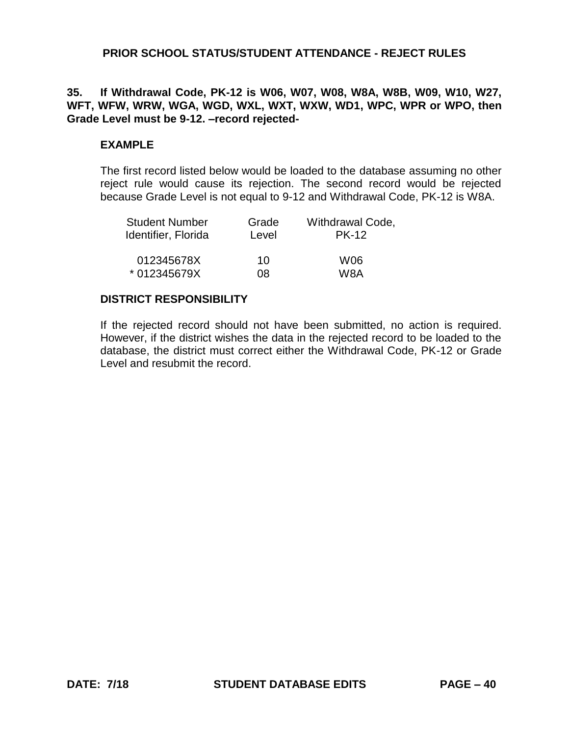#### **35. If Withdrawal Code, PK-12 is W06, W07, W08, W8A, W8B, W09, W10, W27, WFT, WFW, WRW, WGA, WGD, WXL, WXT, WXW, WD1, WPC, WPR or WPO, then Grade Level must be 9-12. –record rejected-**

#### **EXAMPLE**

The first record listed below would be loaded to the database assuming no other reject rule would cause its rejection. The second record would be rejected because Grade Level is not equal to 9-12 and Withdrawal Code, PK-12 is W8A.

| <b>Student Number</b> | Grade | Withdrawal Code, |
|-----------------------|-------|------------------|
| Identifier, Florida   | Level | <b>PK-12</b>     |
| 012345678X            | 10    | W06              |
| * 012345679X          | O8.   | W8A              |

#### **DISTRICT RESPONSIBILITY**

If the rejected record should not have been submitted, no action is required. However, if the district wishes the data in the rejected record to be loaded to the database, the district must correct either the Withdrawal Code, PK-12 or Grade Level and resubmit the record.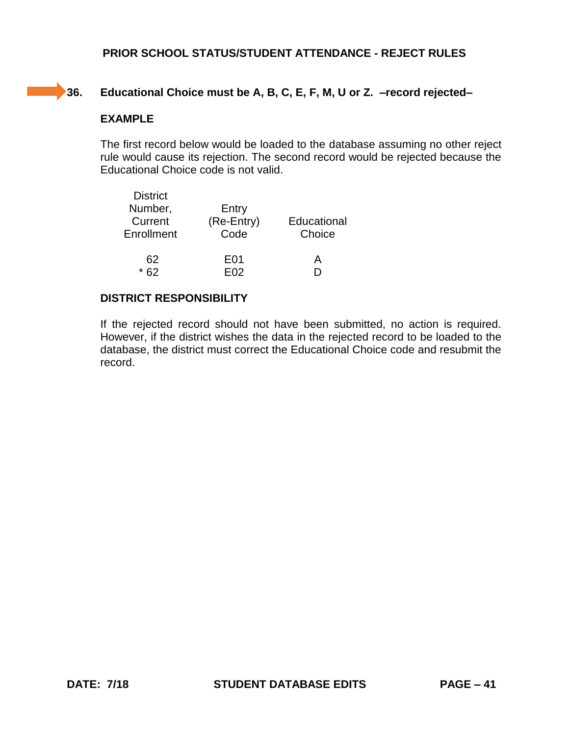# **Contract**

# **36. Educational Choice must be A, B, C, E, F, M, U or Z. –record rejected–**

# **EXAMPLE**

The first record below would be loaded to the database assuming no other reject rule would cause its rejection. The second record would be rejected because the Educational Choice code is not valid.

| <b>District</b> |            |             |
|-----------------|------------|-------------|
| Number,         | Entry      |             |
| Current         | (Re-Entry) | Educational |
| Enrollment      | Code       | Choice      |
| 62              | E01        | A           |
|                 | FN2        |             |

# **DISTRICT RESPONSIBILITY**

If the rejected record should not have been submitted, no action is required. However, if the district wishes the data in the rejected record to be loaded to the database, the district must correct the Educational Choice code and resubmit the record.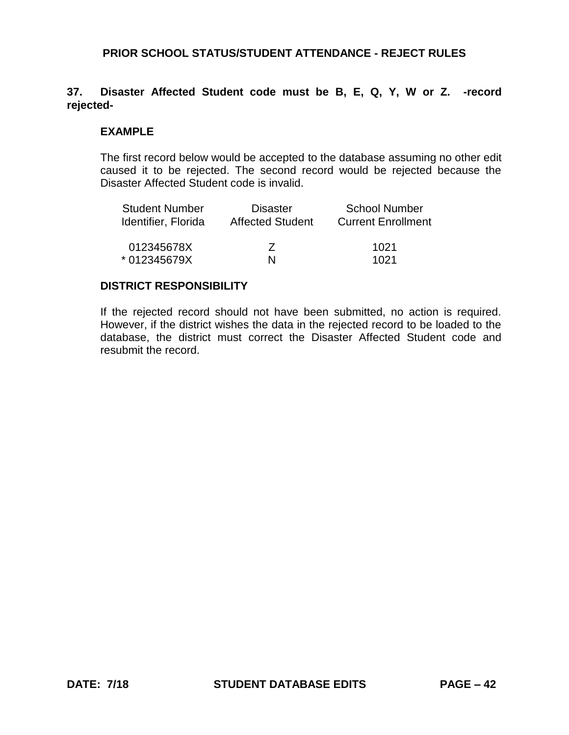## **37. Disaster Affected Student code must be B, E, Q, Y, W or Z. -record rejected-**

#### **EXAMPLE**

The first record below would be accepted to the database assuming no other edit caused it to be rejected. The second record would be rejected because the Disaster Affected Student code is invalid.

| <b>Student Number</b> | <b>Disaster</b>          | <b>School Number</b>      |
|-----------------------|--------------------------|---------------------------|
| Identifier, Florida   | <b>Affected Student</b>  | <b>Current Enrollment</b> |
| 012345678X            | $\overline{\phantom{a}}$ | 1021                      |
| * 012345679X          | N                        | 1021                      |

#### **DISTRICT RESPONSIBILITY**

If the rejected record should not have been submitted, no action is required. However, if the district wishes the data in the rejected record to be loaded to the database, the district must correct the Disaster Affected Student code and resubmit the record.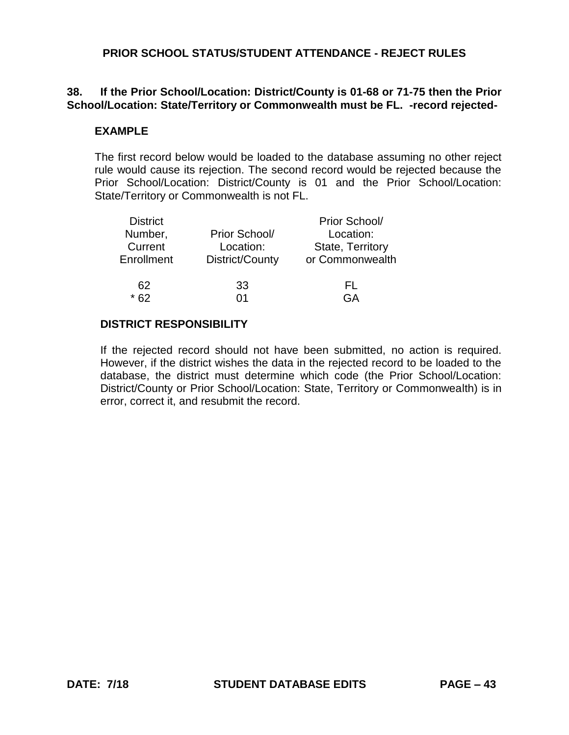# **38. If the Prior School/Location: District/County is 01-68 or 71-75 then the Prior School/Location: State/Territory or Commonwealth must be FL. -record rejected-**

#### **EXAMPLE**

The first record below would be loaded to the database assuming no other reject rule would cause its rejection. The second record would be rejected because the Prior School/Location: District/County is 01 and the Prior School/Location: State/Territory or Commonwealth is not FL.

| <b>District</b> |                 | Prior School/    |
|-----------------|-----------------|------------------|
| Number,         | Prior School/   | Location:        |
| Current         | Location:       | State, Territory |
| Enrollment      | District/County | or Commonwealth  |
| 62              | 33              | FL.              |
| $*62$           | ሰ1              | GΑ               |
|                 |                 |                  |

#### **DISTRICT RESPONSIBILITY**

If the rejected record should not have been submitted, no action is required. However, if the district wishes the data in the rejected record to be loaded to the database, the district must determine which code (the Prior School/Location: District/County or Prior School/Location: State, Territory or Commonwealth) is in error, correct it, and resubmit the record.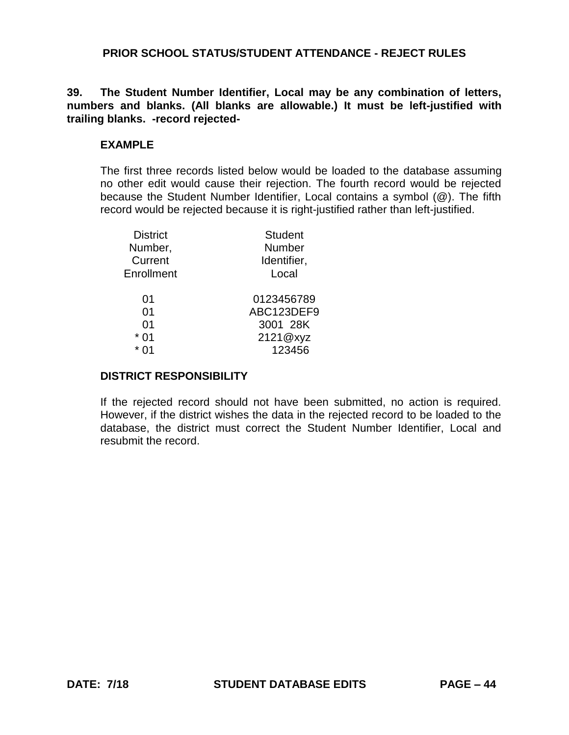**39. The Student Number Identifier, Local may be any combination of letters, numbers and blanks. (All blanks are allowable.) It must be left-justified with trailing blanks. -record rejected-**

# **EXAMPLE**

The first three records listed below would be loaded to the database assuming no other edit would cause their rejection. The fourth record would be rejected because the Student Number Identifier, Local contains a symbol (@). The fifth record would be rejected because it is right-justified rather than left-justified.

| <b>District</b> | <b>Student</b> |
|-----------------|----------------|
| Number,         | Number         |
| Current         | Identifier,    |
| Enrollment      | Local          |
| 01              | 0123456789     |
| 01              | ABC123DEF9     |
| 01              | 3001 28K       |
| 01              | 2121@xyz       |
|                 | 123456         |

## **DISTRICT RESPONSIBILITY**

If the rejected record should not have been submitted, no action is required. However, if the district wishes the data in the rejected record to be loaded to the database, the district must correct the Student Number Identifier, Local and resubmit the record.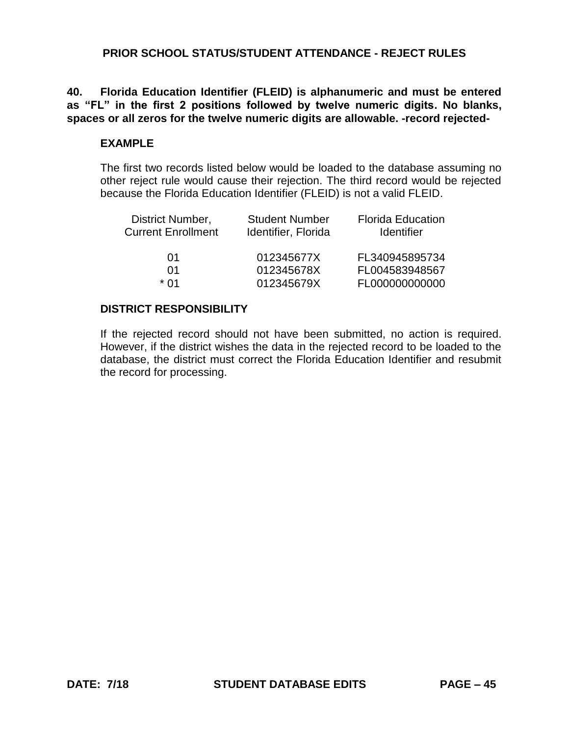**40. Florida Education Identifier (FLEID) is alphanumeric and must be entered as "FL" in the first 2 positions followed by twelve numeric digits. No blanks, spaces or all zeros for the twelve numeric digits are allowable. -record rejected-**

## **EXAMPLE**

The first two records listed below would be loaded to the database assuming no other reject rule would cause their rejection. The third record would be rejected because the Florida Education Identifier (FLEID) is not a valid FLEID.

| <b>Student Number</b> | <b>Florida Education</b> |
|-----------------------|--------------------------|
| Identifier, Florida   | <b>Identifier</b>        |
| 012345677X            | FL340945895734           |
| 012345678X            | FL004583948567           |
| 012345679X            | FL000000000000           |
|                       |                          |

#### **DISTRICT RESPONSIBILITY**

If the rejected record should not have been submitted, no action is required. However, if the district wishes the data in the rejected record to be loaded to the database, the district must correct the Florida Education Identifier and resubmit the record for processing.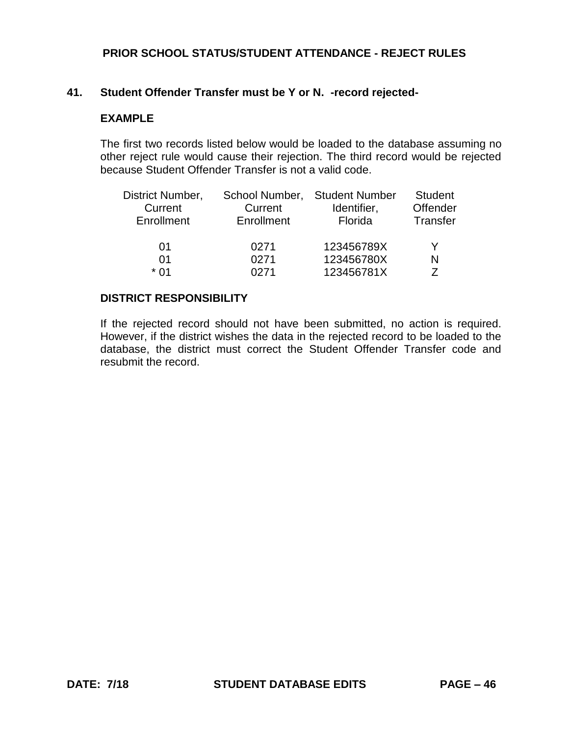#### **41. Student Offender Transfer must be Y or N. -record rejected-**

#### **EXAMPLE**

The first two records listed below would be loaded to the database assuming no other reject rule would cause their rejection. The third record would be rejected because Student Offender Transfer is not a valid code.

| District Number, | School Number, | <b>Student Number</b> | <b>Student</b> |
|------------------|----------------|-----------------------|----------------|
| Current          | Current        | Identifier,           | Offender       |
| Enrollment       | Enrollment     | Florida               | Transfer       |
| 01               | 0271           | 123456789X            | V              |
| 01               | 0271           | 123456780X            | N              |
| * በ1             | ∩271           | 123456781X            | 7              |

#### **DISTRICT RESPONSIBILITY**

If the rejected record should not have been submitted, no action is required. However, if the district wishes the data in the rejected record to be loaded to the database, the district must correct the Student Offender Transfer code and resubmit the record.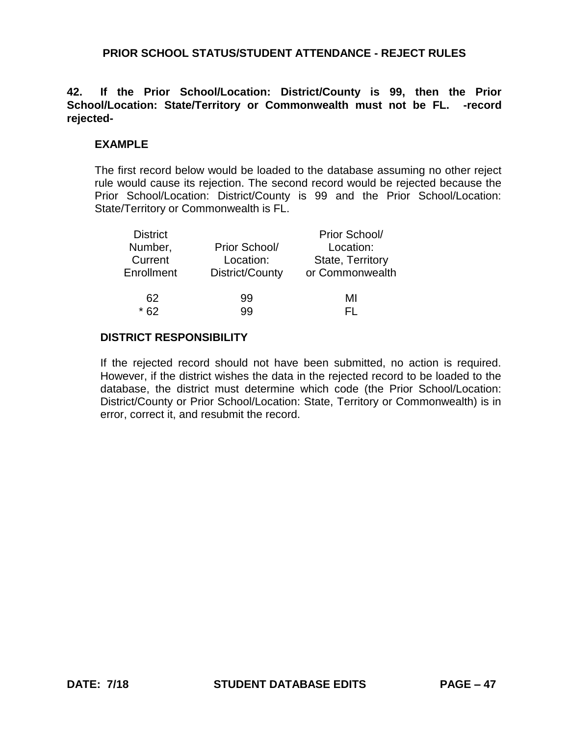## **42. If the Prior School/Location: District/County is 99, then the Prior School/Location: State/Territory or Commonwealth must not be FL. -record rejected-**

#### **EXAMPLE**

The first record below would be loaded to the database assuming no other reject rule would cause its rejection. The second record would be rejected because the Prior School/Location: District/County is 99 and the Prior School/Location: State/Territory or Commonwealth is FL.

| <b>District</b> |                 | Prior School/    |
|-----------------|-----------------|------------------|
| Number,         | Prior School/   | Location:        |
| Current         | Location:       | State, Territory |
| Enrollment      | District/County | or Commonwealth  |
|                 |                 |                  |
| 62              | 99              | MI               |
|                 | aa              |                  |

# **DISTRICT RESPONSIBILITY**

If the rejected record should not have been submitted, no action is required. However, if the district wishes the data in the rejected record to be loaded to the database, the district must determine which code (the Prior School/Location: District/County or Prior School/Location: State, Territory or Commonwealth) is in error, correct it, and resubmit the record.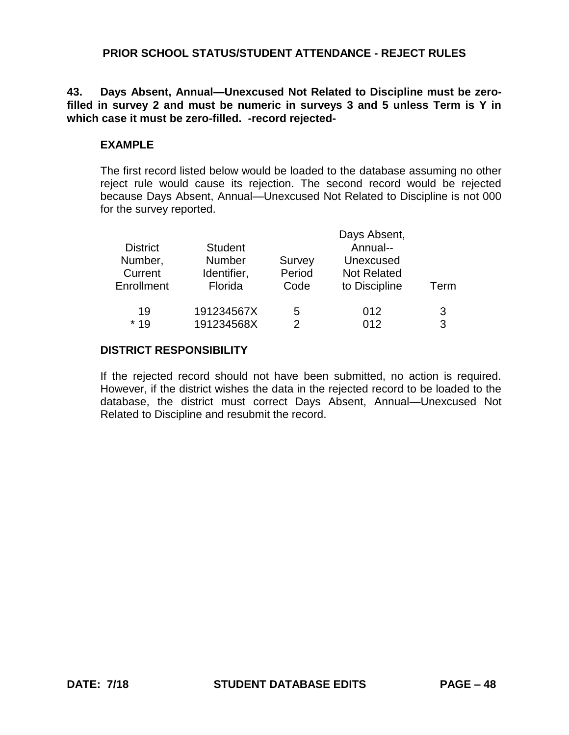**43. Days Absent, Annual—Unexcused Not Related to Discipline must be zerofilled in survey 2 and must be numeric in surveys 3 and 5 unless Term is Y in which case it must be zero-filled. -record rejected-**

## **EXAMPLE**

The first record listed below would be loaded to the database assuming no other reject rule would cause its rejection. The second record would be rejected because Days Absent, Annual—Unexcused Not Related to Discipline is not 000 for the survey reported.

|                 |                |        | Days Absent,       |      |
|-----------------|----------------|--------|--------------------|------|
| <b>District</b> | <b>Student</b> |        | Annual--           |      |
| Number,         | <b>Number</b>  | Survey | Unexcused          |      |
| Current         | Identifier,    | Period | <b>Not Related</b> |      |
| Enrollment      | Florida        | Code   | to Discipline      | Term |
| 19              | 191234567X     | 5      | 012                | 3    |
| $*19$           | 191234568X     | 2      | 012                | 3    |

#### **DISTRICT RESPONSIBILITY**

If the rejected record should not have been submitted, no action is required. However, if the district wishes the data in the rejected record to be loaded to the database, the district must correct Days Absent, Annual—Unexcused Not Related to Discipline and resubmit the record.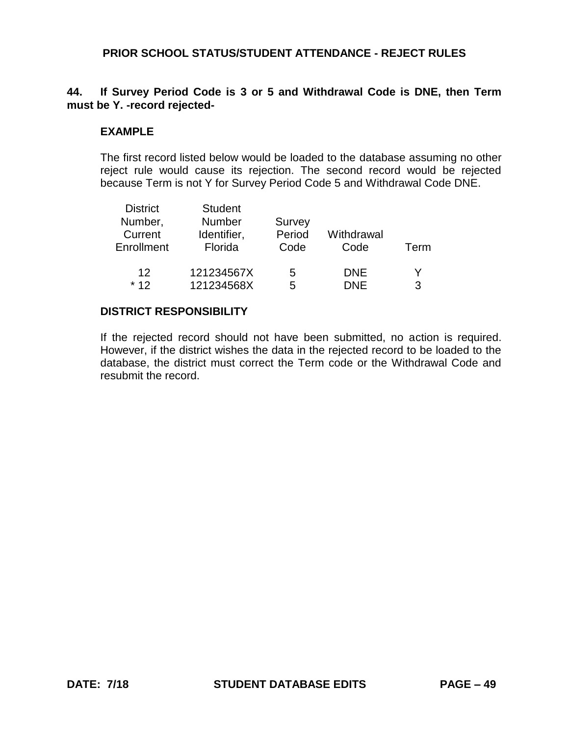# **44. If Survey Period Code is 3 or 5 and Withdrawal Code is DNE, then Term must be Y. -record rejected-**

#### **EXAMPLE**

The first record listed below would be loaded to the database assuming no other reject rule would cause its rejection. The second record would be rejected because Term is not Y for Survey Period Code 5 and Withdrawal Code DNE.

| <b>Student</b> |                             |            |      |
|----------------|-----------------------------|------------|------|
|                | Survey                      |            |      |
| Identifier,    |                             | Withdrawal |      |
| Florida        | Code                        | Code       | Term |
|                |                             |            |      |
|                | 5                           | <b>DNE</b> |      |
| 121234568X     | 5                           | <b>DNE</b> | 3    |
|                | <b>Number</b><br>121234567X | Period     |      |

#### **DISTRICT RESPONSIBILITY**

If the rejected record should not have been submitted, no action is required. However, if the district wishes the data in the rejected record to be loaded to the database, the district must correct the Term code or the Withdrawal Code and resubmit the record.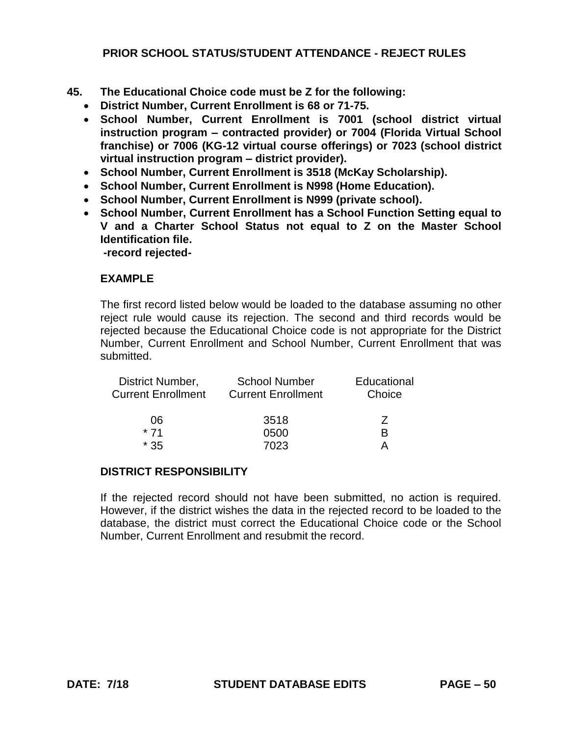- **45. The Educational Choice code must be Z for the following:**
	- **District Number, Current Enrollment is 68 or 71-75.**
	- **School Number, Current Enrollment is 7001 (school district virtual instruction program – contracted provider) or 7004 (Florida Virtual School franchise) or 7006 (KG-12 virtual course offerings) or 7023 (school district virtual instruction program – district provider).**
	- **School Number, Current Enrollment is 3518 (McKay Scholarship).**
	- **School Number, Current Enrollment is N998 (Home Education).**
	- **School Number, Current Enrollment is N999 (private school).**
	- **School Number, Current Enrollment has a School Function Setting equal to V and a Charter School Status not equal to Z on the Master School Identification file.**

**-record rejected-**

#### **EXAMPLE**

The first record listed below would be loaded to the database assuming no other reject rule would cause its rejection. The second and third records would be rejected because the Educational Choice code is not appropriate for the District Number, Current Enrollment and School Number, Current Enrollment that was submitted.

| <b>School Number</b><br><b>Current Enrollment</b> | Educational<br>Choice |
|---------------------------------------------------|-----------------------|
| 3518                                              | $\prime$              |
| 0500                                              | R                     |
| 7023                                              |                       |
|                                                   |                       |

#### **DISTRICT RESPONSIBILITY**

If the rejected record should not have been submitted, no action is required. However, if the district wishes the data in the rejected record to be loaded to the database, the district must correct the Educational Choice code or the School Number, Current Enrollment and resubmit the record.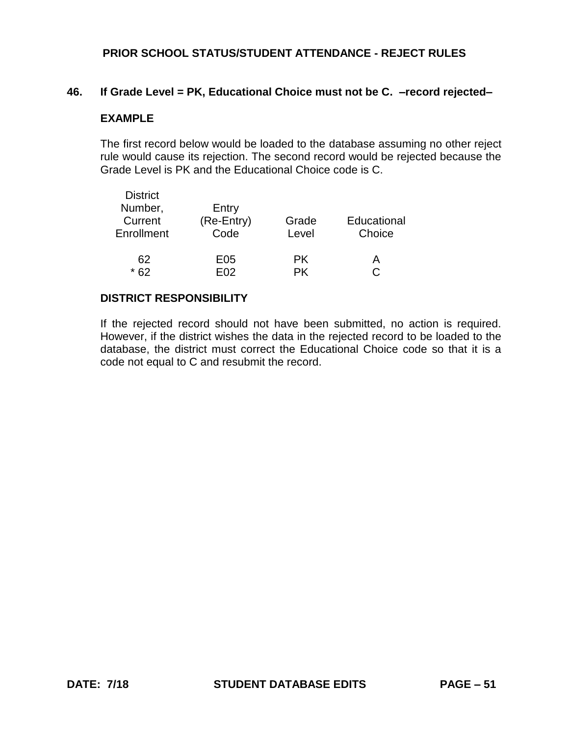#### **46. If Grade Level = PK, Educational Choice must not be C. –record rejected–**

#### **EXAMPLE**

The first record below would be loaded to the database assuming no other reject rule would cause its rejection. The second record would be rejected because the Grade Level is PK and the Educational Choice code is C.

| <b>District</b><br>Number,<br>Current<br>Enrollment | Entry<br>(Re-Entry)<br>Code | Grade<br>Level | Educational<br>Choice |
|-----------------------------------------------------|-----------------------------|----------------|-----------------------|
| 62                                                  | E05                         | <b>PK</b>      | A                     |
| * 62                                                | F02                         | DK             | C.                    |

## **DISTRICT RESPONSIBILITY**

If the rejected record should not have been submitted, no action is required. However, if the district wishes the data in the rejected record to be loaded to the database, the district must correct the Educational Choice code so that it is a code not equal to C and resubmit the record.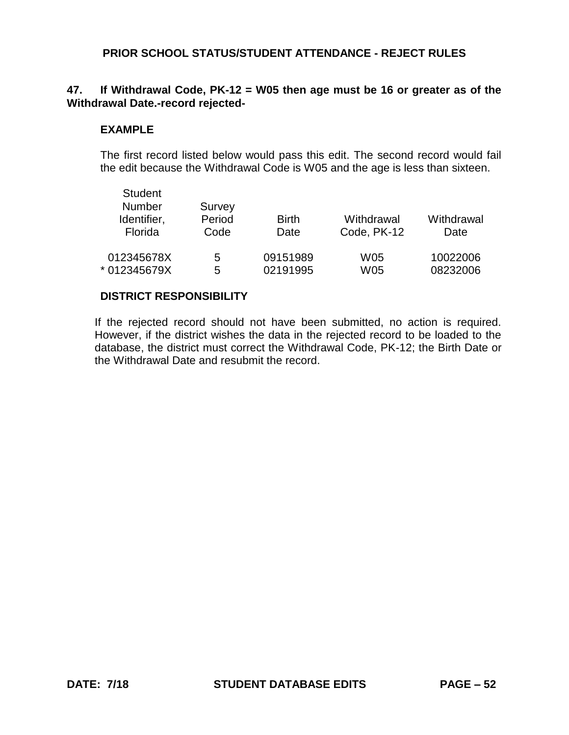# **47. If Withdrawal Code, PK-12 = W05 then age must be 16 or greater as of the Withdrawal Date.-record rejected-**

#### **EXAMPLE**

The first record listed below would pass this edit. The second record would fail the edit because the Withdrawal Code is W05 and the age is less than sixteen.

| <b>Student</b><br><b>Number</b><br>Identifier,<br>Florida | Survey<br>Period<br>Code | <b>Birth</b><br>Date | Withdrawal<br>Code, PK-12 | Withdrawal<br>Date |
|-----------------------------------------------------------|--------------------------|----------------------|---------------------------|--------------------|
| 012345678X                                                | 5                        | 09151989             | <b>W05</b>                | 10022006           |
| * 012345679X                                              | 5                        | 02191995             | W05                       | 08232006           |

#### **DISTRICT RESPONSIBILITY**

If the rejected record should not have been submitted, no action is required. However, if the district wishes the data in the rejected record to be loaded to the database, the district must correct the Withdrawal Code, PK-12; the Birth Date or the Withdrawal Date and resubmit the record.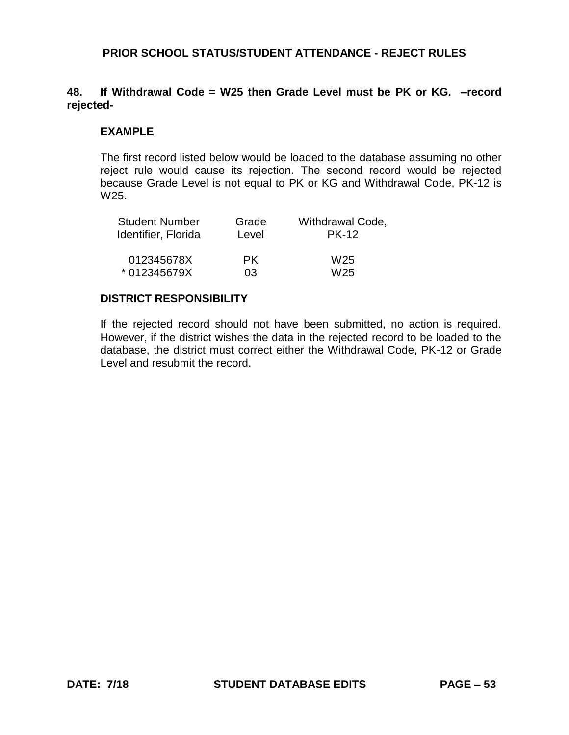## **48. If Withdrawal Code = W25 then Grade Level must be PK or KG. –record rejected-**

#### **EXAMPLE**

The first record listed below would be loaded to the database assuming no other reject rule would cause its rejection. The second record would be rejected because Grade Level is not equal to PK or KG and Withdrawal Code, PK-12 is W25.

| <b>Student Number</b> | Grade | Withdrawal Code, |
|-----------------------|-------|------------------|
| Identifier, Florida   | Level | <b>PK-12</b>     |
|                       |       |                  |
| 012345678X            | PK.   | W25              |
| * 012345679X          | 03    | W <sub>25</sub>  |

#### **DISTRICT RESPONSIBILITY**

If the rejected record should not have been submitted, no action is required. However, if the district wishes the data in the rejected record to be loaded to the database, the district must correct either the Withdrawal Code, PK-12 or Grade Level and resubmit the record.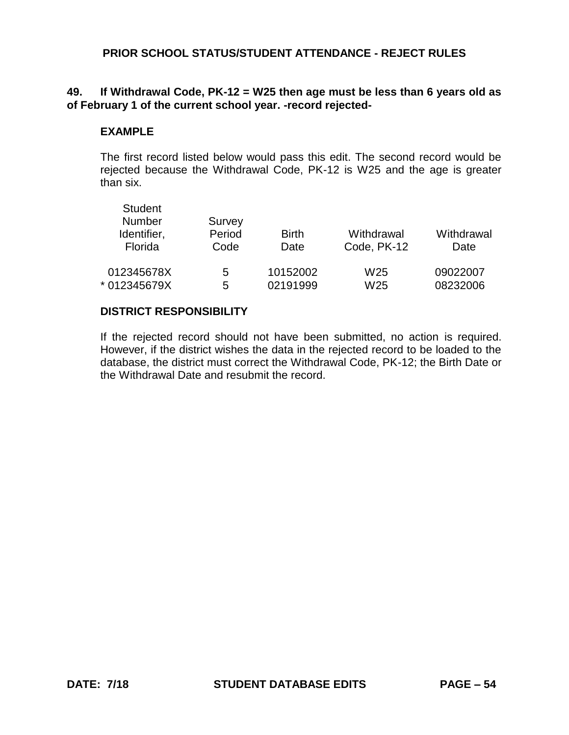## **49. If Withdrawal Code, PK-12 = W25 then age must be less than 6 years old as of February 1 of the current school year. -record rejected-**

#### **EXAMPLE**

The first record listed below would pass this edit. The second record would be rejected because the Withdrawal Code, PK-12 is W25 and the age is greater than six.

| <b>Student</b><br>Number<br>Identifier,<br>Florida | Survey<br>Period<br>Code | <b>Birth</b><br>Date | Withdrawal<br>Code, PK-12 | Withdrawal<br>Date |
|----------------------------------------------------|--------------------------|----------------------|---------------------------|--------------------|
| 012345678X                                         | 5                        | 10152002             | W <sub>25</sub>           | 09022007           |
| * 012345679X                                       | 5                        | 02191999             | W <sub>25</sub>           | 08232006           |

## **DISTRICT RESPONSIBILITY**

If the rejected record should not have been submitted, no action is required. However, if the district wishes the data in the rejected record to be loaded to the database, the district must correct the Withdrawal Code, PK-12; the Birth Date or the Withdrawal Date and resubmit the record.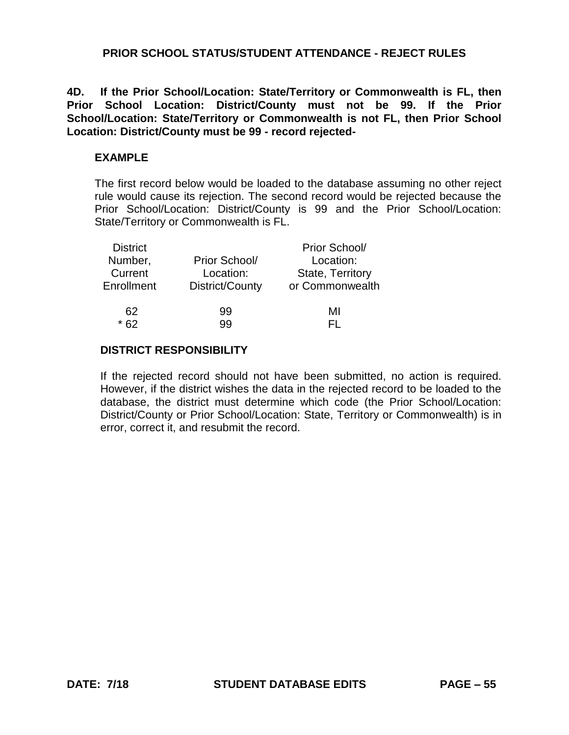**4D. If the Prior School/Location: State/Territory or Commonwealth is FL, then Prior School Location: District/County must not be 99. If the Prior School/Location: State/Territory or Commonwealth is not FL, then Prior School Location: District/County must be 99 - record rejected-**

#### **EXAMPLE**

The first record below would be loaded to the database assuming no other reject rule would cause its rejection. The second record would be rejected because the Prior School/Location: District/County is 99 and the Prior School/Location: State/Territory or Commonwealth is FL.

| <b>District</b> |                 | Prior School/    |
|-----------------|-----------------|------------------|
| Number,         | Prior School/   | Location:        |
| Current         | Location:       | State, Territory |
| Enrollment      | District/County | or Commonwealth  |
| 62              | 99              | MI               |
|                 | qq              | - 1              |

#### **DISTRICT RESPONSIBILITY**

If the rejected record should not have been submitted, no action is required. However, if the district wishes the data in the rejected record to be loaded to the database, the district must determine which code (the Prior School/Location: District/County or Prior School/Location: State, Territory or Commonwealth) is in error, correct it, and resubmit the record.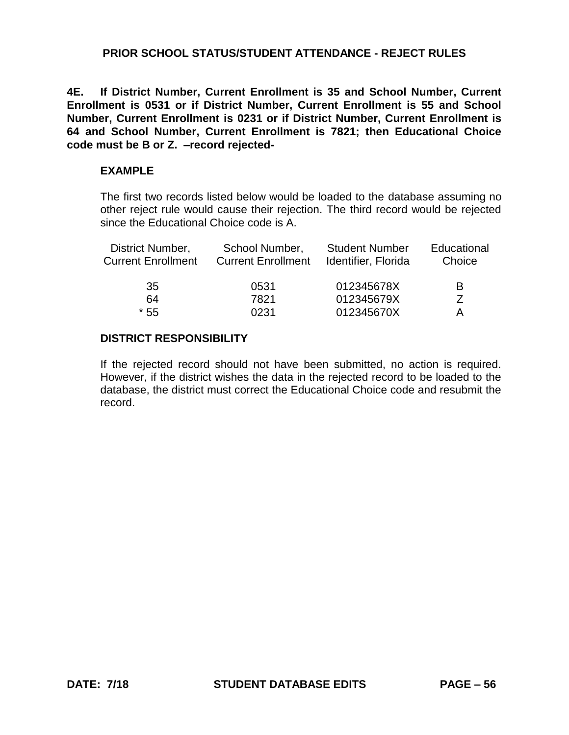**4E. If District Number, Current Enrollment is 35 and School Number, Current Enrollment is 0531 or if District Number, Current Enrollment is 55 and School Number, Current Enrollment is 0231 or if District Number, Current Enrollment is 64 and School Number, Current Enrollment is 7821; then Educational Choice code must be B or Z. –record rejected-**

#### **EXAMPLE**

The first two records listed below would be loaded to the database assuming no other reject rule would cause their rejection. The third record would be rejected since the Educational Choice code is A.

| District Number,<br><b>Current Enrollment</b> | School Number,<br><b>Current Enrollment</b> | <b>Student Number</b><br>Identifier, Florida | Educational<br>Choice |
|-----------------------------------------------|---------------------------------------------|----------------------------------------------|-----------------------|
| 35                                            | 0531                                        | 012345678X                                   | B                     |
| 64                                            | 7821                                        | 012345679X                                   | 7                     |
| $*55$                                         | 0231                                        | 012345670X                                   | A                     |

## **DISTRICT RESPONSIBILITY**

If the rejected record should not have been submitted, no action is required. However, if the district wishes the data in the rejected record to be loaded to the database, the district must correct the Educational Choice code and resubmit the record.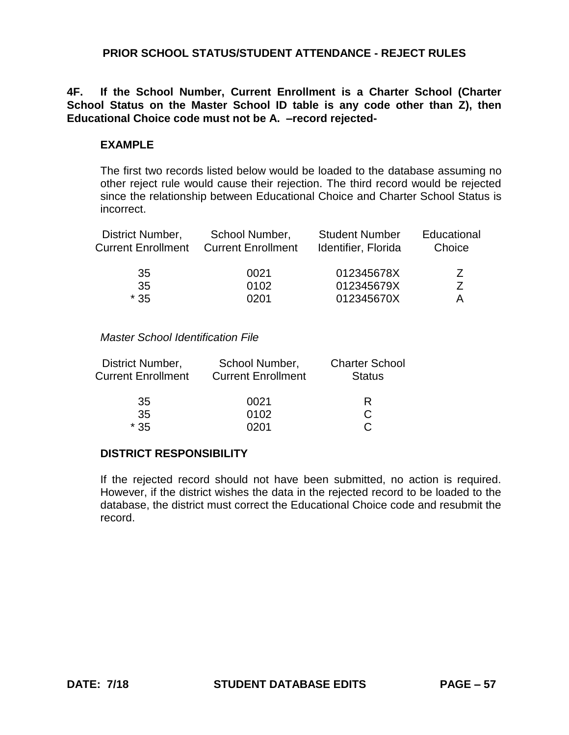## **4F. If the School Number, Current Enrollment is a Charter School (Charter School Status on the Master School ID table is any code other than Z), then Educational Choice code must not be A. –record rejected-**

## **EXAMPLE**

The first two records listed below would be loaded to the database assuming no other reject rule would cause their rejection. The third record would be rejected since the relationship between Educational Choice and Charter School Status is incorrect.

| District Number,<br><b>Current Enrollment</b> | School Number,<br><b>Current Enrollment</b> | <b>Student Number</b><br>Identifier, Florida | Educational<br>Choice |
|-----------------------------------------------|---------------------------------------------|----------------------------------------------|-----------------------|
| 35                                            | 0021                                        | 012345678X                                   |                       |
| 35                                            | 0102                                        | 012345679X                                   |                       |
| $*35$                                         | 0201                                        | 012345670X                                   | А                     |

#### *Master School Identification File*

| District Number,<br><b>Current Enrollment</b> | School Number,<br><b>Current Enrollment</b> | <b>Charter School</b><br><b>Status</b> |
|-----------------------------------------------|---------------------------------------------|----------------------------------------|
| 35                                            | 0021                                        | R                                      |
| 35                                            | 0102                                        |                                        |
| * 35                                          | ገ2በ1                                        |                                        |

#### **DISTRICT RESPONSIBILITY**

If the rejected record should not have been submitted, no action is required. However, if the district wishes the data in the rejected record to be loaded to the database, the district must correct the Educational Choice code and resubmit the record.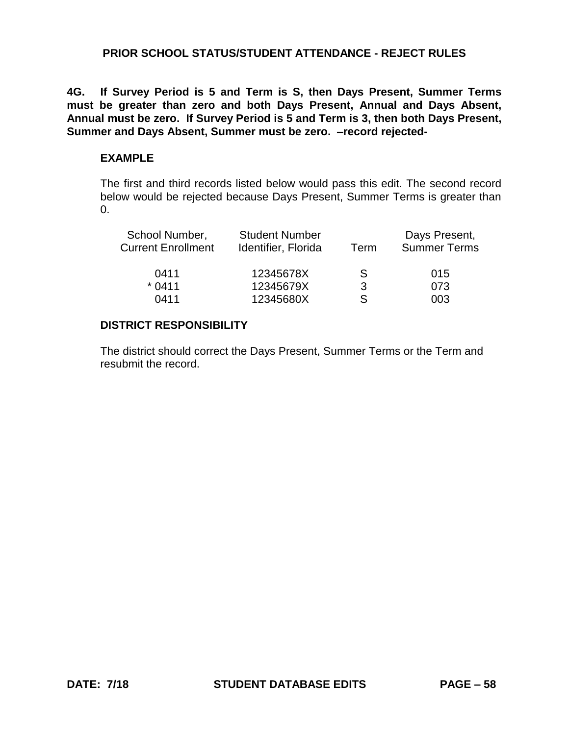**4G. If Survey Period is 5 and Term is S, then Days Present, Summer Terms must be greater than zero and both Days Present, Annual and Days Absent, Annual must be zero. If Survey Period is 5 and Term is 3, then both Days Present, Summer and Days Absent, Summer must be zero. –record rejected-**

#### **EXAMPLE**

The first and third records listed below would pass this edit. The second record below would be rejected because Days Present, Summer Terms is greater than 0.

| School Number,<br><b>Current Enrollment</b> | <b>Student Number</b><br>Identifier, Florida | Term         | Days Present,<br><b>Summer Terms</b> |
|---------------------------------------------|----------------------------------------------|--------------|--------------------------------------|
| 0411                                        | 12345678X                                    | <sub>S</sub> | 015                                  |
| $*0411$                                     | 12345679X                                    | 3            | 073                                  |
| 0411                                        | 12345680X                                    | S            | 003                                  |
|                                             |                                              |              |                                      |

#### **DISTRICT RESPONSIBILITY**

The district should correct the Days Present, Summer Terms or the Term and resubmit the record.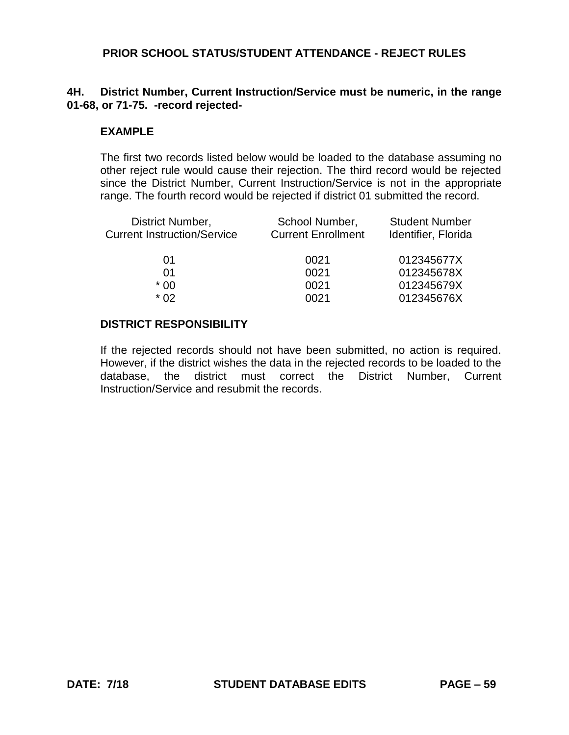## **4H. District Number, Current Instruction/Service must be numeric, in the range 01-68, or 71-75. -record rejected-**

#### **EXAMPLE**

The first two records listed below would be loaded to the database assuming no other reject rule would cause their rejection. The third record would be rejected since the District Number, Current Instruction/Service is not in the appropriate range. The fourth record would be rejected if district 01 submitted the record.

| School Number,<br><b>Current Enrollment</b> | <b>Student Number</b><br>Identifier, Florida |
|---------------------------------------------|----------------------------------------------|
| 0021                                        | 012345677X                                   |
| 0021                                        | 012345678X                                   |
| 0021                                        | 012345679X                                   |
| 0021                                        | 012345676X                                   |
|                                             |                                              |

#### **DISTRICT RESPONSIBILITY**

If the rejected records should not have been submitted, no action is required. However, if the district wishes the data in the rejected records to be loaded to the database, the district must correct the District Number, Current Instruction/Service and resubmit the records.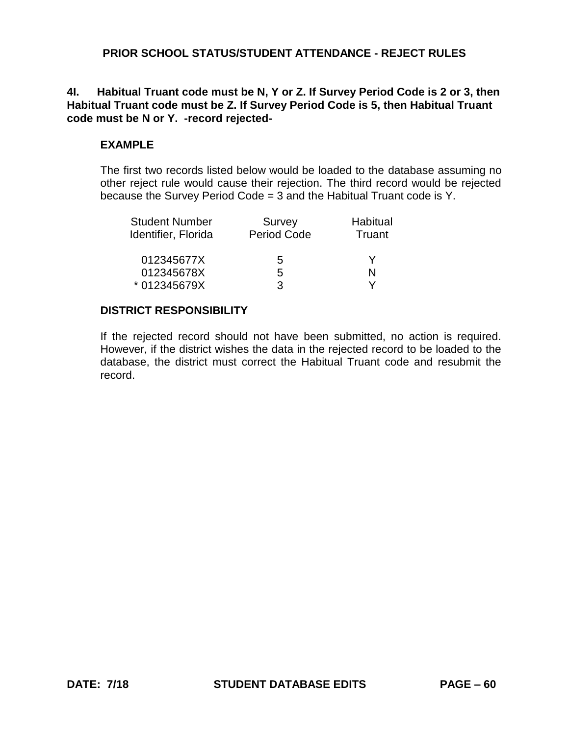## **4I. Habitual Truant code must be N, Y or Z. If Survey Period Code is 2 or 3, then Habitual Truant code must be Z. If Survey Period Code is 5, then Habitual Truant code must be N or Y. -record rejected-**

# **EXAMPLE**

The first two records listed below would be loaded to the database assuming no other reject rule would cause their rejection. The third record would be rejected because the Survey Period Code = 3 and the Habitual Truant code is Y.

| <b>Student Number</b> | Survey             | Habitual |
|-----------------------|--------------------|----------|
| Identifier, Florida   | <b>Period Code</b> | Truant   |
| 012345677X            | 5                  |          |
| 012345678X            | 5                  | N        |
| * 012345679X          | З                  | v        |

## **DISTRICT RESPONSIBILITY**

If the rejected record should not have been submitted, no action is required. However, if the district wishes the data in the rejected record to be loaded to the database, the district must correct the Habitual Truant code and resubmit the record.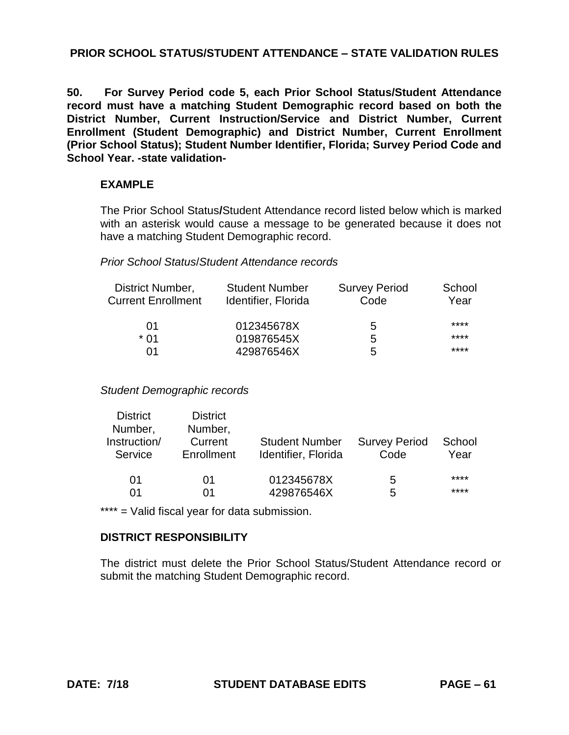# **PRIOR SCHOOL STATUS/STUDENT ATTENDANCE – STATE VALIDATION RULES**

**50. For Survey Period code 5, each Prior School Status/Student Attendance record must have a matching Student Demographic record based on both the District Number, Current Instruction/Service and District Number, Current Enrollment (Student Demographic) and District Number, Current Enrollment (Prior School Status); Student Number Identifier, Florida; Survey Period Code and School Year. -state validation-**

#### **EXAMPLE**

The Prior School Status**/**Student Attendance record listed below which is marked with an asterisk would cause a message to be generated because it does not have a matching Student Demographic record.

## *Prior School Status*/*Student Attendance records*

| District Number,          | <b>Student Number</b> | <b>Survey Period</b> | School |
|---------------------------|-----------------------|----------------------|--------|
| <b>Current Enrollment</b> | Identifier, Florida   | Code                 | Year   |
| 01                        | 012345678X            | 5                    | ****   |
| * በ1                      | 019876545X            | 5                    | ****   |
| 01                        | 429876546X            | 5                    | ****   |

*Student Demographic records*

| <b>District</b><br>Number,<br>Instruction/<br>Service | <b>District</b><br>Number,<br>Current<br>Enrollment | <b>Student Number</b><br>Identifier, Florida | <b>Survey Period</b><br>Code | School<br>Year |
|-------------------------------------------------------|-----------------------------------------------------|----------------------------------------------|------------------------------|----------------|
| 01                                                    | 01                                                  | 012345678X                                   | 5                            | ****           |
| 01                                                    | በ1                                                  | 429876546X                                   | 5                            | ****           |

\*\*\*\* = Valid fiscal year for data submission.

## **DISTRICT RESPONSIBILITY**

The district must delete the Prior School Status/Student Attendance record or submit the matching Student Demographic record.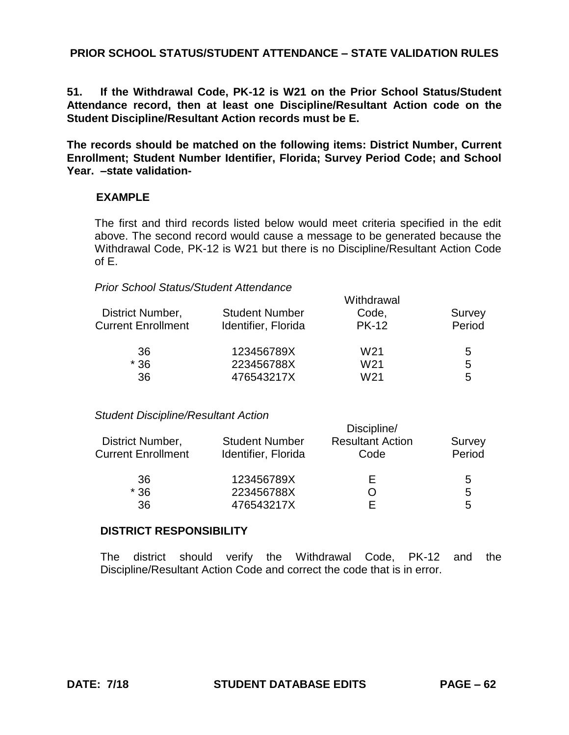# **PRIOR SCHOOL STATUS/STUDENT ATTENDANCE – STATE VALIDATION RULES**

**51. If the Withdrawal Code, PK-12 is W21 on the Prior School Status/Student Attendance record, then at least one Discipline/Resultant Action code on the Student Discipline/Resultant Action records must be E.** 

**The records should be matched on the following items: District Number, Current Enrollment; Student Number Identifier, Florida; Survey Period Code; and School Year. –state validation-**

## **EXAMPLE**

The first and third records listed below would meet criteria specified in the edit above. The second record would cause a message to be generated because the Withdrawal Code, PK-12 is W21 but there is no Discipline/Resultant Action Code of E.

#### *Prior School Status/Student Attendance*

|                           | Withdrawal            |                 |        |  |
|---------------------------|-----------------------|-----------------|--------|--|
| District Number,          | <b>Student Number</b> | Code,           | Survey |  |
| <b>Current Enrollment</b> | Identifier, Florida   | <b>PK-12</b>    | Period |  |
| 36                        | 123456789X            | W <sub>21</sub> | 5      |  |
| $*36$                     | 223456788X            | W21             | 5      |  |
| 36                        | 476543217X            | W21             | 5      |  |
|                           |                       |                 |        |  |

## *Student Discipline/Resultant Action*

| Discipline/                                  |                                 |                  |  |  |
|----------------------------------------------|---------------------------------|------------------|--|--|
| <b>Student Number</b><br>Identifier, Florida | <b>Resultant Action</b><br>Code | Survey<br>Period |  |  |
| 123456789X                                   |                                 | 5                |  |  |
| 223456788X                                   |                                 | 5                |  |  |
| 476543217X                                   |                                 | 5                |  |  |
|                                              |                                 |                  |  |  |

#### **DISTRICT RESPONSIBILITY**

The district should verify the Withdrawal Code, PK-12 and the Discipline/Resultant Action Code and correct the code that is in error.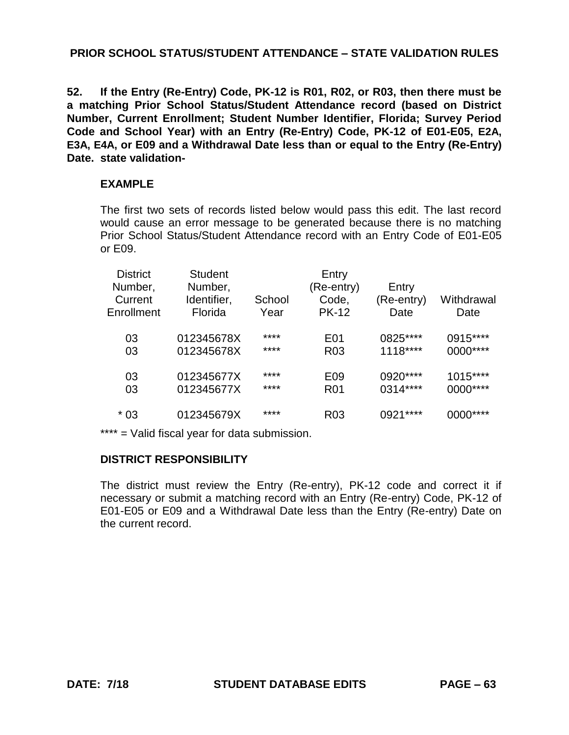**52. If the Entry (Re-Entry) Code, PK-12 is R01, R02, or R03, then there must be a matching Prior School Status/Student Attendance record (based on District Number, Current Enrollment; Student Number Identifier, Florida; Survey Period Code and School Year) with an Entry (Re-Entry) Code, PK-12 of E01-E05, E2A, E3A, E4A, or E09 and a Withdrawal Date less than or equal to the Entry (Re-Entry) Date. state validation-**

## **EXAMPLE**

The first two sets of records listed below would pass this edit. The last record would cause an error message to be generated because there is no matching Prior School Status/Student Attendance record with an Entry Code of E01-E05 or E09.

| <b>District</b><br>Number,<br>Current<br>Enrollment | Student<br>Number,<br>Identifier,<br>Florida | School<br>Year | Entry<br>(Re-entry)<br>Code,<br><b>PK-12</b> | Entry<br>(Re-entry)<br>Date | Withdrawal<br>Date |
|-----------------------------------------------------|----------------------------------------------|----------------|----------------------------------------------|-----------------------------|--------------------|
| 03                                                  | 012345678X                                   | ****           | E <sub>0</sub> 1                             | 0825****                    | 0915****           |
| 03                                                  | 012345678X                                   | ****           | R <sub>03</sub>                              | 1118****                    | 0000****           |
| 03                                                  | 012345677X                                   | ****           | E09                                          | 0920****                    | $1015***$          |
| 03                                                  | 012345677X                                   | ****           | R <sub>0</sub> 1                             | 0314****                    | 0000****           |
| * 03                                                | 012345679X                                   | ****           | R <sub>03</sub>                              | 0921****                    |                    |

\*\*\*\* = Valid fiscal year for data submission.

## **DISTRICT RESPONSIBILITY**

The district must review the Entry (Re-entry), PK-12 code and correct it if necessary or submit a matching record with an Entry (Re-entry) Code, PK-12 of E01-E05 or E09 and a Withdrawal Date less than the Entry (Re-entry) Date on the current record.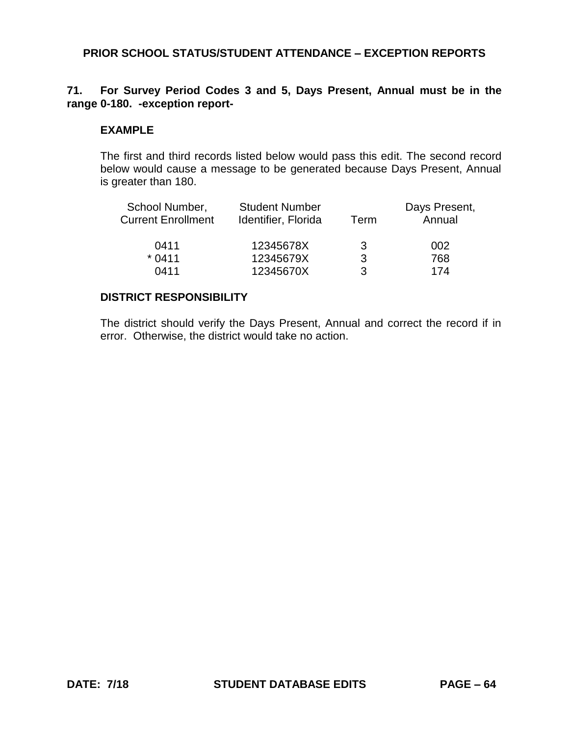# **71. For Survey Period Codes 3 and 5, Days Present, Annual must be in the range 0-180. -exception report-**

#### **EXAMPLE**

The first and third records listed below would pass this edit. The second record below would cause a message to be generated because Days Present, Annual is greater than 180.

| School Number,            | <b>Student Number</b> |      | Days Present, |
|---------------------------|-----------------------|------|---------------|
| <b>Current Enrollment</b> | Identifier, Florida   | Term | Annual        |
| 0411                      | 12345678X             | 3    | 002           |
| $*0411$                   | 12345679X             | 3    | 768           |
| 0411                      | 12345670X             | ર    | 174           |

## **DISTRICT RESPONSIBILITY**

The district should verify the Days Present, Annual and correct the record if in error. Otherwise, the district would take no action.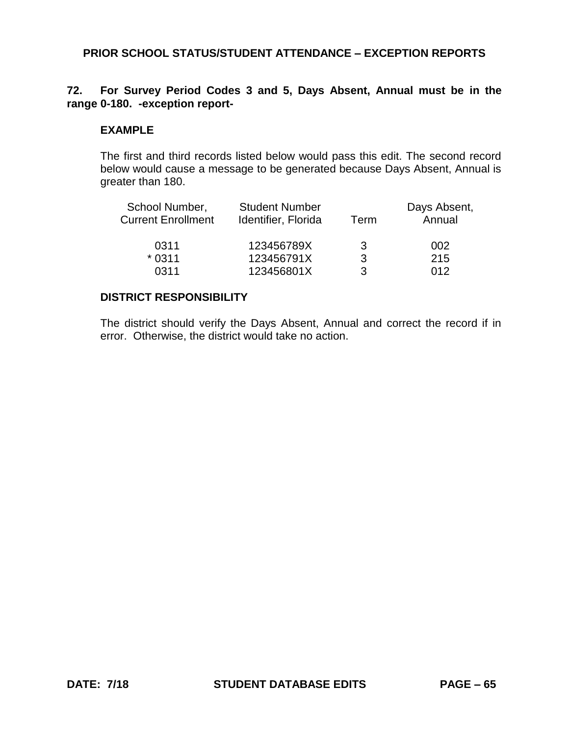# **72. For Survey Period Codes 3 and 5, Days Absent, Annual must be in the range 0-180. -exception report-**

#### **EXAMPLE**

The first and third records listed below would pass this edit. The second record below would cause a message to be generated because Days Absent, Annual is greater than 180.

| School Number,<br><b>Current Enrollment</b> | <b>Student Number</b><br>Identifier, Florida<br>Term |   | Days Absent,<br>Annual |  |
|---------------------------------------------|------------------------------------------------------|---|------------------------|--|
| 0311                                        | 123456789X                                           | 3 | 002                    |  |
| $*0311$                                     | 123456791X                                           | 3 | 215                    |  |
| 0311                                        | 123456801X                                           | 3 | 012                    |  |

## **DISTRICT RESPONSIBILITY**

The district should verify the Days Absent, Annual and correct the record if in error. Otherwise, the district would take no action.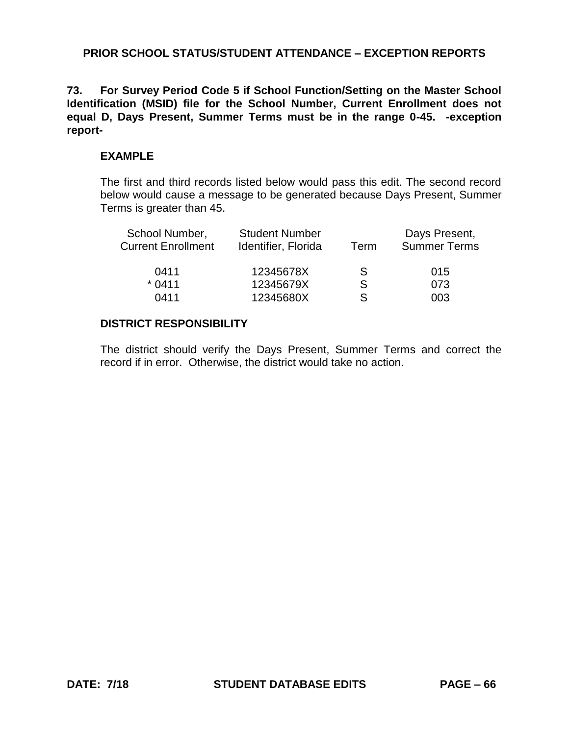**73. For Survey Period Code 5 if School Function/Setting on the Master School Identification (MSID) file for the School Number, Current Enrollment does not equal D, Days Present, Summer Terms must be in the range 0-45. -exception report-**

#### **EXAMPLE**

The first and third records listed below would pass this edit. The second record below would cause a message to be generated because Days Present, Summer Terms is greater than 45.

| School Number,<br><b>Current Enrollment</b> | <b>Student Number</b><br>Identifier, Florida | Term         | Days Present,<br><b>Summer Terms</b> |  |
|---------------------------------------------|----------------------------------------------|--------------|--------------------------------------|--|
| 0411                                        | 12345678X                                    | <sub>S</sub> | 015                                  |  |
| $*0411$                                     | 12345679X                                    | <sub>S</sub> | 073                                  |  |
| 0411                                        | 12345680X                                    | S            | 003                                  |  |
|                                             |                                              |              |                                      |  |

#### **DISTRICT RESPONSIBILITY**

The district should verify the Days Present, Summer Terms and correct the record if in error. Otherwise, the district would take no action.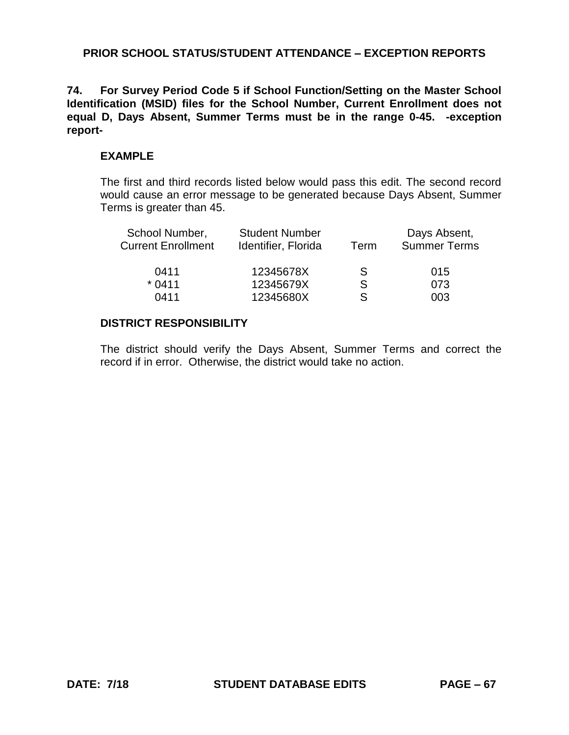**74. For Survey Period Code 5 if School Function/Setting on the Master School Identification (MSID) files for the School Number, Current Enrollment does not equal D, Days Absent, Summer Terms must be in the range 0-45. -exception report-**

#### **EXAMPLE**

The first and third records listed below would pass this edit. The second record would cause an error message to be generated because Days Absent, Summer Terms is greater than 45.

| <b>Student Number</b><br>Identifier, Florida | Term | Days Absent,<br><b>Summer Terms</b> |  |
|----------------------------------------------|------|-------------------------------------|--|
| 12345678X                                    | S    | 015                                 |  |
| 12345679X                                    | S    | 073                                 |  |
| 12345680X                                    | S.   | 003                                 |  |
|                                              |      |                                     |  |

#### **DISTRICT RESPONSIBILITY**

The district should verify the Days Absent, Summer Terms and correct the record if in error. Otherwise, the district would take no action.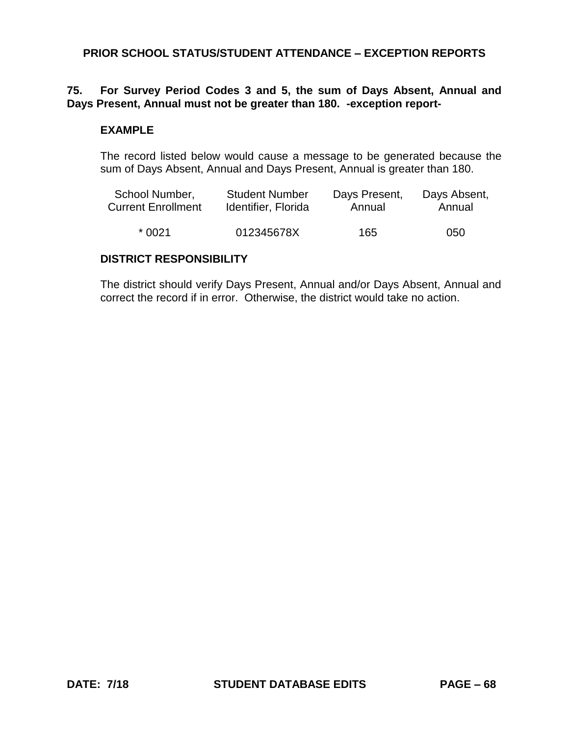## **75. For Survey Period Codes 3 and 5, the sum of Days Absent, Annual and Days Present, Annual must not be greater than 180. -exception report-**

#### **EXAMPLE**

The record listed below would cause a message to be generated because the sum of Days Absent, Annual and Days Present, Annual is greater than 180.

| School Number,            | <b>Student Number</b> | Days Present, | Days Absent, |
|---------------------------|-----------------------|---------------|--------------|
| <b>Current Enrollment</b> | Identifier, Florida   | Annual        | Annual       |
| * 0021                    | 012345678X            | 165           | 050          |

#### **DISTRICT RESPONSIBILITY**

The district should verify Days Present, Annual and/or Days Absent, Annual and correct the record if in error. Otherwise, the district would take no action.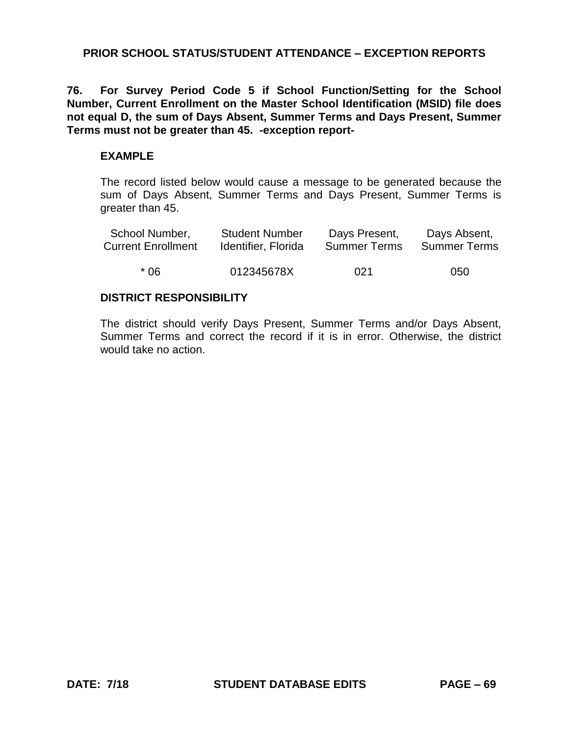**76. For Survey Period Code 5 if School Function/Setting for the School Number, Current Enrollment on the Master School Identification (MSID) file does not equal D, the sum of Days Absent, Summer Terms and Days Present, Summer Terms must not be greater than 45. -exception report-**

#### **EXAMPLE**

The record listed below would cause a message to be generated because the sum of Days Absent, Summer Terms and Days Present, Summer Terms is greater than 45.

| School Number,            | <b>Student Number</b> | Days Present,       | Days Absent,        |
|---------------------------|-----------------------|---------------------|---------------------|
| <b>Current Enrollment</b> | Identifier, Florida   | <b>Summer Terms</b> | <b>Summer Terms</b> |
| * በ6                      | 012345678X            | 021                 | 050                 |

## **DISTRICT RESPONSIBILITY**

The district should verify Days Present, Summer Terms and/or Days Absent, Summer Terms and correct the record if it is in error. Otherwise, the district would take no action.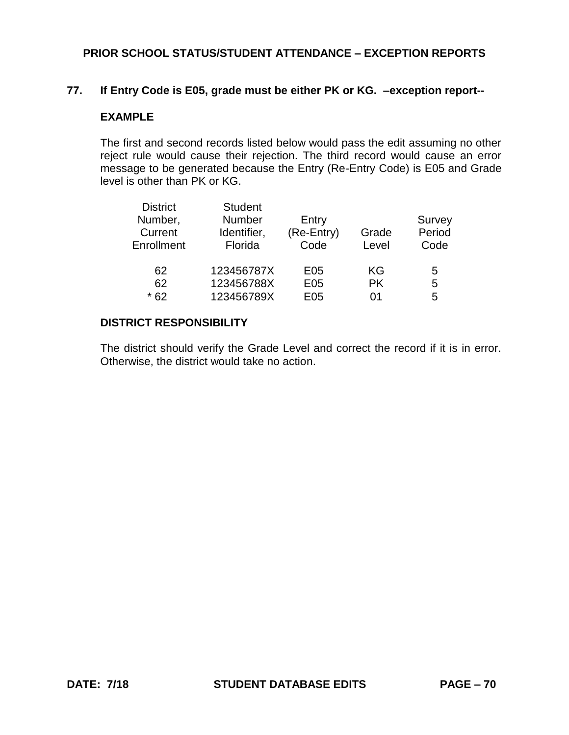#### **77. If Entry Code is E05, grade must be either PK or KG. –exception report--**

#### **EXAMPLE**

The first and second records listed below would pass the edit assuming no other reject rule would cause their rejection. The third record would cause an error message to be generated because the Entry (Re-Entry Code) is E05 and Grade level is other than PK or KG.

| <b>District</b> | <b>Student</b> |            |           |        |
|-----------------|----------------|------------|-----------|--------|
| Number,         | <b>Number</b>  | Entry      |           | Survey |
| Current         | Identifier,    | (Re-Entry) | Grade     | Period |
| Enrollment      | Florida        | Code       | Level     | Code   |
| 62              | 123456787X     | E05        | ΚG        | 5      |
| 62              | 123456788X     | E05        | <b>PK</b> | 5      |
| $*62$           | 123456789X     | E05        | ሰ1        | 5      |

#### **DISTRICT RESPONSIBILITY**

The district should verify the Grade Level and correct the record if it is in error. Otherwise, the district would take no action.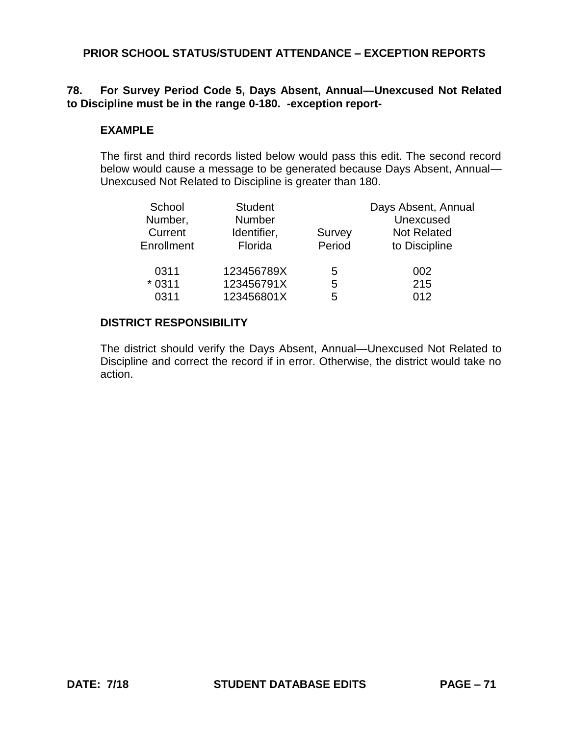# **78. For Survey Period Code 5, Days Absent, Annual—Unexcused Not Related to Discipline must be in the range 0-180. -exception report-**

#### **EXAMPLE**

The first and third records listed below would pass this edit. The second record below would cause a message to be generated because Days Absent, Annual— Unexcused Not Related to Discipline is greater than 180.

| School     | <b>Student</b> |        | Days Absent, Annual |
|------------|----------------|--------|---------------------|
| Number,    | <b>Number</b>  |        | Unexcused           |
| Current    | Identifier,    | Survey | <b>Not Related</b>  |
| Enrollment | Florida        | Period | to Discipline       |
| 0311       | 123456789X     | 5      | 002                 |
| $*0311$    | 123456791X     | 5      | 215                 |
| 0311       | 123456801X     | 5      | 012                 |

#### **DISTRICT RESPONSIBILITY**

The district should verify the Days Absent, Annual—Unexcused Not Related to Discipline and correct the record if in error. Otherwise, the district would take no action.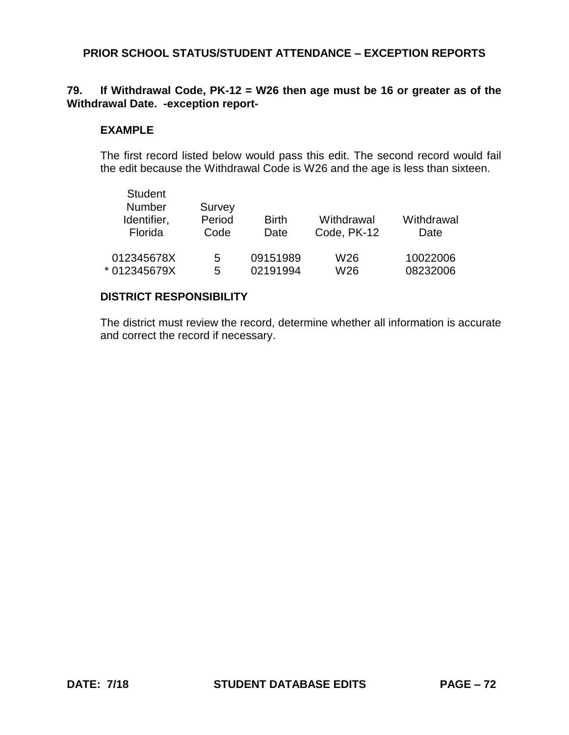# **79. If Withdrawal Code, PK-12 = W26 then age must be 16 or greater as of the Withdrawal Date. -exception report-**

#### **EXAMPLE**

The first record listed below would pass this edit. The second record would fail the edit because the Withdrawal Code is W26 and the age is less than sixteen.

| <b>Student</b><br><b>Number</b><br>Identifier,<br>Florida | Survey<br>Period<br>Code | <b>Birth</b><br>Date | Withdrawal<br>Code, PK-12 | Withdrawal<br>Date |
|-----------------------------------------------------------|--------------------------|----------------------|---------------------------|--------------------|
| 012345678X                                                | 5                        | 09151989             | W26                       | 10022006           |
| * 012345679X                                              | 5                        | 02191994             | W <sub>26</sub>           | 08232006           |

#### **DISTRICT RESPONSIBILITY**

The district must review the record, determine whether all information is accurate and correct the record if necessary.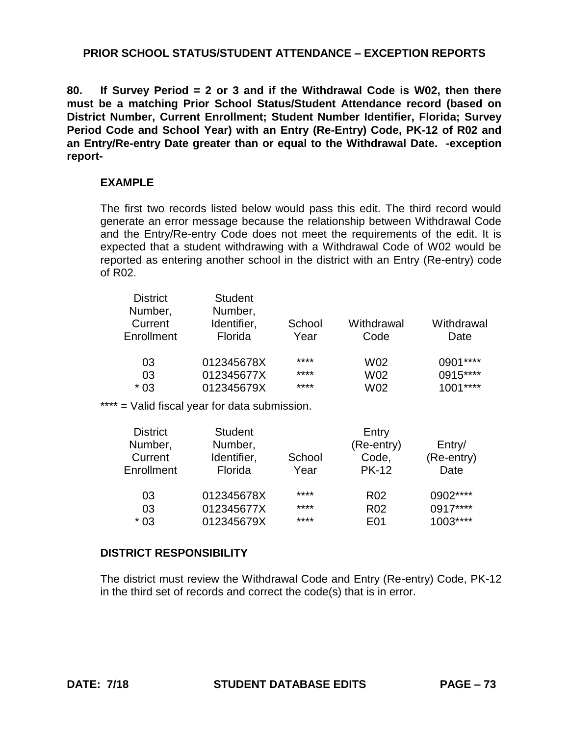**80. If Survey Period = 2 or 3 and if the Withdrawal Code is W02, then there must be a matching Prior School Status/Student Attendance record (based on District Number, Current Enrollment; Student Number Identifier, Florida; Survey Period Code and School Year) with an Entry (Re-Entry) Code, PK-12 of R02 and an Entry/Re-entry Date greater than or equal to the Withdrawal Date. -exception report-**

#### **EXAMPLE**

The first two records listed below would pass this edit. The third record would generate an error message because the relationship between Withdrawal Code and the Entry/Re-entry Code does not meet the requirements of the edit. It is expected that a student withdrawing with a Withdrawal Code of W02 would be reported as entering another school in the district with an Entry (Re-entry) code of R02.

| <b>District</b><br>Number,<br>Current<br>Enrollment | <b>Student</b><br>Number,<br>Identifier,<br>Florida | School<br>Year | Withdrawal<br>Code | Withdrawal<br>Date |
|-----------------------------------------------------|-----------------------------------------------------|----------------|--------------------|--------------------|
| 03                                                  | 012345678X                                          | ****           | W02                | $0901***$          |
| 03                                                  | 012345677X                                          | ****           | W02                | 0915****           |
| * 03                                                | 012345679X                                          | ****           | W02                | $1001***$          |

\*\*\*\* = Valid fiscal year for data submission.

| <b>District</b> | <b>Student</b> |        | Entry           |            |
|-----------------|----------------|--------|-----------------|------------|
| Number,         | Number,        |        | (Re-entry)      | Entry/     |
| Current         | Identifier,    | School | Code,           | (Re-entry) |
| Enrollment      | Florida        | Year   | <b>PK-12</b>    | Date       |
| 03              | 012345678X     | ****   | R <sub>02</sub> | 0902****   |
| 03              | 012345677X     | ****   | <b>R02</b>      | $0917***$  |
| $*03$           | 012345679X     | ****   | E01             | $1003***$  |

# **DISTRICT RESPONSIBILITY**

The district must review the Withdrawal Code and Entry (Re-entry) Code, PK-12 in the third set of records and correct the code(s) that is in error.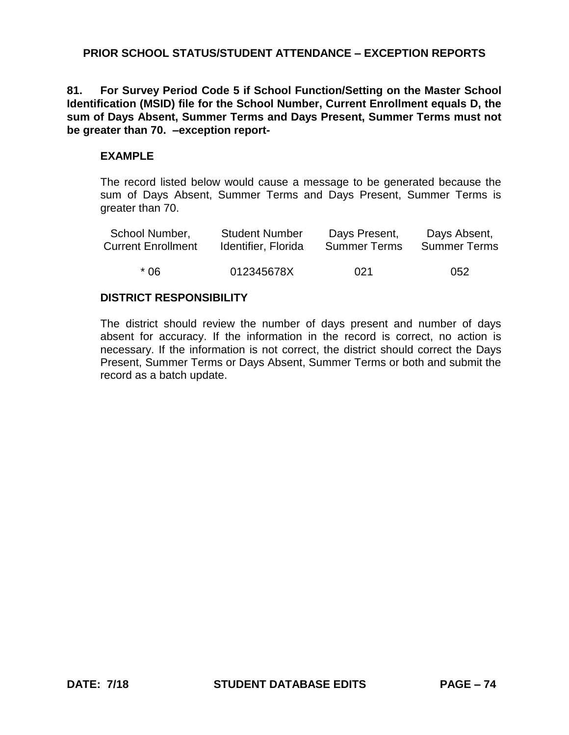**81. For Survey Period Code 5 if School Function/Setting on the Master School Identification (MSID) file for the School Number, Current Enrollment equals D, the sum of Days Absent, Summer Terms and Days Present, Summer Terms must not be greater than 70. –exception report-**

#### **EXAMPLE**

The record listed below would cause a message to be generated because the sum of Days Absent, Summer Terms and Days Present, Summer Terms is greater than 70.

| School Number,            | <b>Student Number</b> | Days Present,       | Days Absent,        |
|---------------------------|-----------------------|---------------------|---------------------|
| <b>Current Enrollment</b> | Identifier, Florida   | <b>Summer Terms</b> | <b>Summer Terms</b> |
| * በ6                      | 012345678X            | 021                 | 052                 |

# **DISTRICT RESPONSIBILITY**

The district should review the number of days present and number of days absent for accuracy. If the information in the record is correct, no action is necessary. If the information is not correct, the district should correct the Days Present, Summer Terms or Days Absent, Summer Terms or both and submit the record as a batch update.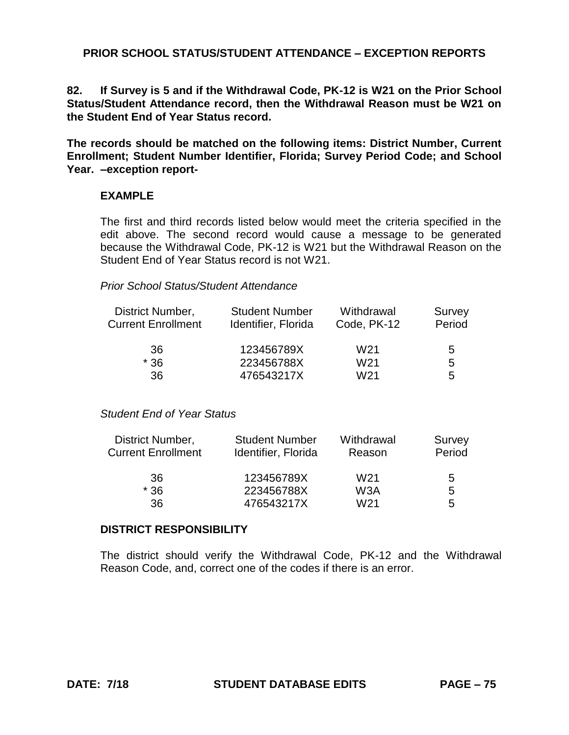**82. If Survey is 5 and if the Withdrawal Code, PK-12 is W21 on the Prior School Status/Student Attendance record, then the Withdrawal Reason must be W21 on the Student End of Year Status record.** 

**The records should be matched on the following items: District Number, Current Enrollment; Student Number Identifier, Florida; Survey Period Code; and School Year. –exception report-**

#### **EXAMPLE**

The first and third records listed below would meet the criteria specified in the edit above. The second record would cause a message to be generated because the Withdrawal Code, PK-12 is W21 but the Withdrawal Reason on the Student End of Year Status record is not W21.

#### *Prior School Status/Student Attendance*

| District Number,<br><b>Current Enrollment</b> | <b>Student Number</b><br>Identifier, Florida | Withdrawal<br>Code, PK-12 | Survey<br>Period |
|-----------------------------------------------|----------------------------------------------|---------------------------|------------------|
|                                               |                                              |                           |                  |
| 36                                            | 123456789X                                   | W21                       | 5                |
| $*36$                                         | 223456788X                                   | W21                       | 5                |
| 36                                            | 476543217X                                   | W21                       | 5                |

#### *Student End of Year Status*

| District Number,          | <b>Student Number</b> | Withdrawal       | Survey |
|---------------------------|-----------------------|------------------|--------|
| <b>Current Enrollment</b> | Identifier, Florida   | Reason           | Period |
| 36                        | 123456789X            | W <sub>21</sub>  | 5      |
| $*36$                     | 223456788X            | W <sub>3</sub> A | 5      |
| 36                        | 476543217X            | W <sub>21</sub>  | 5      |

#### **DISTRICT RESPONSIBILITY**

The district should verify the Withdrawal Code, PK-12 and the Withdrawal Reason Code, and, correct one of the codes if there is an error.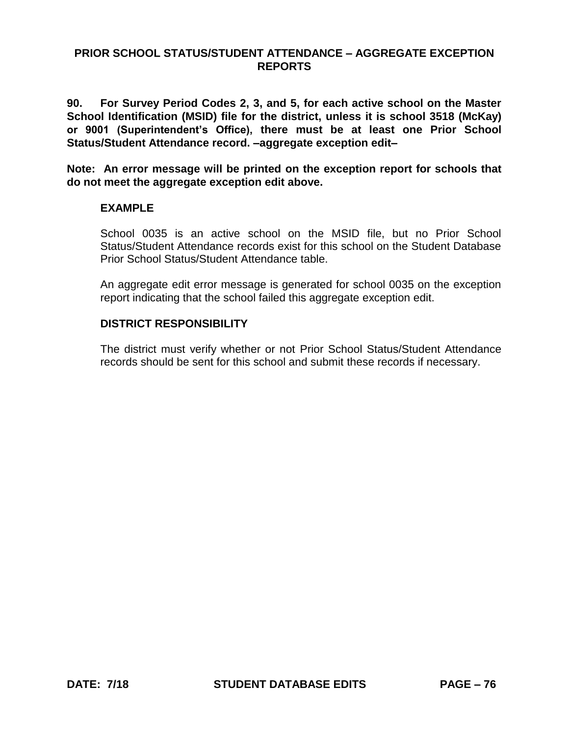**90. For Survey Period Codes 2, 3, and 5, for each active school on the Master School Identification (MSID) file for the district, unless it is school 3518 (McKay) or 9001 (Superintendent's Office), there must be at least one Prior School Status/Student Attendance record. –aggregate exception edit–**

**Note: An error message will be printed on the exception report for schools that do not meet the aggregate exception edit above.**

## **EXAMPLE**

School 0035 is an active school on the MSID file, but no Prior School Status/Student Attendance records exist for this school on the Student Database Prior School Status/Student Attendance table.

An aggregate edit error message is generated for school 0035 on the exception report indicating that the school failed this aggregate exception edit.

# **DISTRICT RESPONSIBILITY**

The district must verify whether or not Prior School Status/Student Attendance records should be sent for this school and submit these records if necessary.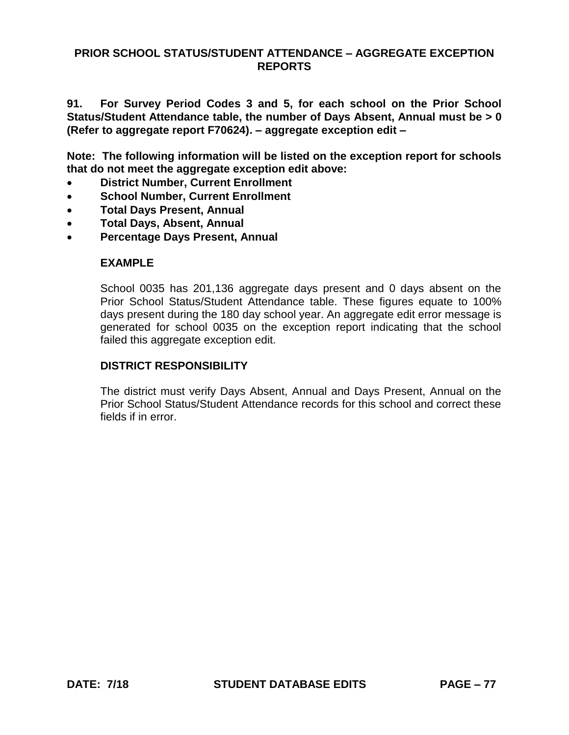**91. For Survey Period Codes 3 and 5, for each school on the Prior School Status/Student Attendance table, the number of Days Absent, Annual must be > 0 (Refer to aggregate report F70624). – aggregate exception edit –**

**Note: The following information will be listed on the exception report for schools that do not meet the aggregate exception edit above:**

- **District Number, Current Enrollment**
- **School Number, Current Enrollment**
- **Total Days Present, Annual**
- **Total Days, Absent, Annual**
- **Percentage Days Present, Annual**

#### **EXAMPLE**

School 0035 has 201,136 aggregate days present and 0 days absent on the Prior School Status/Student Attendance table. These figures equate to 100% days present during the 180 day school year. An aggregate edit error message is generated for school 0035 on the exception report indicating that the school failed this aggregate exception edit.

#### **DISTRICT RESPONSIBILITY**

The district must verify Days Absent, Annual and Days Present, Annual on the Prior School Status/Student Attendance records for this school and correct these fields if in error.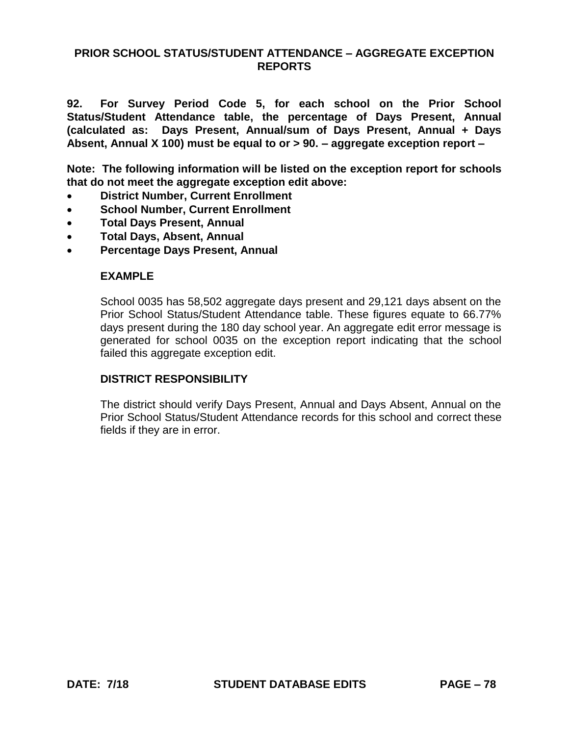**92. For Survey Period Code 5, for each school on the Prior School Status/Student Attendance table, the percentage of Days Present, Annual (calculated as: Days Present, Annual/sum of Days Present, Annual + Days Absent, Annual X 100) must be equal to or > 90. – aggregate exception report –**

**Note: The following information will be listed on the exception report for schools that do not meet the aggregate exception edit above:**

- **District Number, Current Enrollment**
- **School Number, Current Enrollment**
- **Total Days Present, Annual**
- **Total Days, Absent, Annual**
- **Percentage Days Present, Annual**

## **EXAMPLE**

School 0035 has 58,502 aggregate days present and 29,121 days absent on the Prior School Status/Student Attendance table. These figures equate to 66.77% days present during the 180 day school year. An aggregate edit error message is generated for school 0035 on the exception report indicating that the school failed this aggregate exception edit.

## **DISTRICT RESPONSIBILITY**

The district should verify Days Present, Annual and Days Absent, Annual on the Prior School Status/Student Attendance records for this school and correct these fields if they are in error.